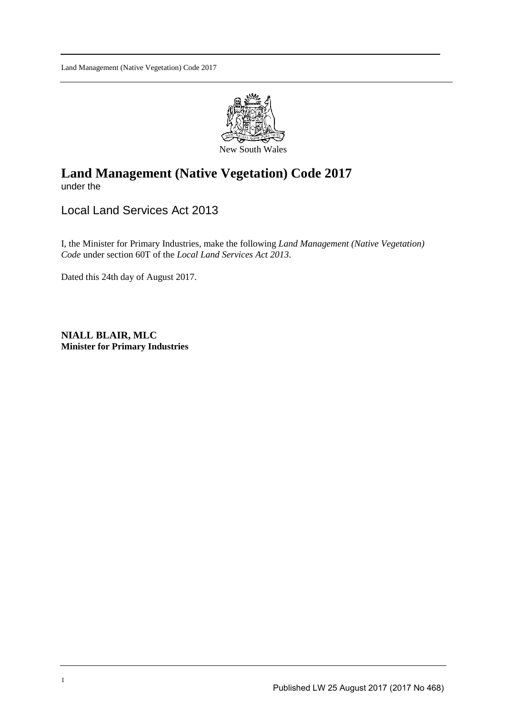

## **Land Management (Native Vegetation) Code 2017**  under the

Local Land Services Act 2013

I, the Minister for Primary Industries, make the following *Land Management (Native Vegetation) Code* under section 60T of the *Local Land Services Act 2013*.

Dated this 24th day of August 2017.

**NIALL BLAIR, MLC Minister for Primary Industries**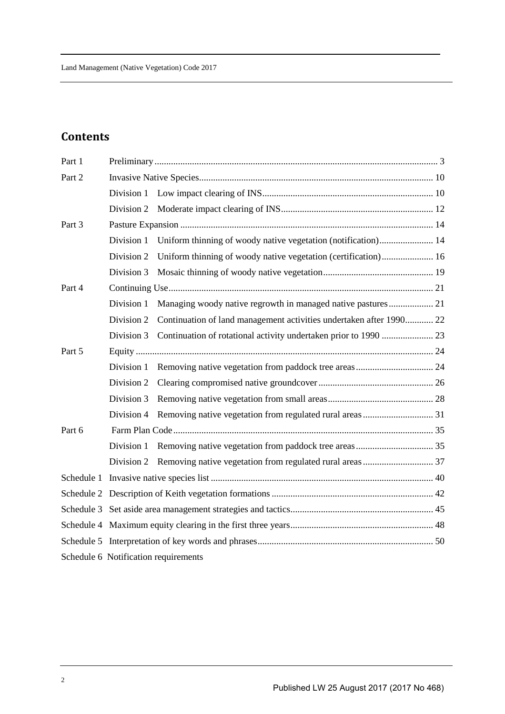# **Contents**

| Part 1 |            |                                                                     |  |  |  |  |  |  |  |  |  |  |  |
|--------|------------|---------------------------------------------------------------------|--|--|--|--|--|--|--|--|--|--|--|
| Part 2 |            |                                                                     |  |  |  |  |  |  |  |  |  |  |  |
|        |            |                                                                     |  |  |  |  |  |  |  |  |  |  |  |
|        |            |                                                                     |  |  |  |  |  |  |  |  |  |  |  |
| Part 3 |            |                                                                     |  |  |  |  |  |  |  |  |  |  |  |
|        | Division 1 |                                                                     |  |  |  |  |  |  |  |  |  |  |  |
|        | Division 2 | Uniform thinning of woody native vegetation (certification) 16      |  |  |  |  |  |  |  |  |  |  |  |
|        | Division 3 |                                                                     |  |  |  |  |  |  |  |  |  |  |  |
| Part 4 |            |                                                                     |  |  |  |  |  |  |  |  |  |  |  |
|        | Division 1 |                                                                     |  |  |  |  |  |  |  |  |  |  |  |
|        | Division 2 | Continuation of land management activities undertaken after 1990 22 |  |  |  |  |  |  |  |  |  |  |  |
|        | Division 3 |                                                                     |  |  |  |  |  |  |  |  |  |  |  |
| Part 5 |            |                                                                     |  |  |  |  |  |  |  |  |  |  |  |
|        | Division 1 |                                                                     |  |  |  |  |  |  |  |  |  |  |  |
|        | Division 2 |                                                                     |  |  |  |  |  |  |  |  |  |  |  |
|        | Division 3 |                                                                     |  |  |  |  |  |  |  |  |  |  |  |
|        | Division 4 |                                                                     |  |  |  |  |  |  |  |  |  |  |  |
| Part 6 |            |                                                                     |  |  |  |  |  |  |  |  |  |  |  |
|        |            |                                                                     |  |  |  |  |  |  |  |  |  |  |  |
|        |            |                                                                     |  |  |  |  |  |  |  |  |  |  |  |
|        |            |                                                                     |  |  |  |  |  |  |  |  |  |  |  |
|        |            |                                                                     |  |  |  |  |  |  |  |  |  |  |  |
|        |            |                                                                     |  |  |  |  |  |  |  |  |  |  |  |
|        |            |                                                                     |  |  |  |  |  |  |  |  |  |  |  |
|        |            |                                                                     |  |  |  |  |  |  |  |  |  |  |  |
|        |            | Schedule 6 Notification requirements                                |  |  |  |  |  |  |  |  |  |  |  |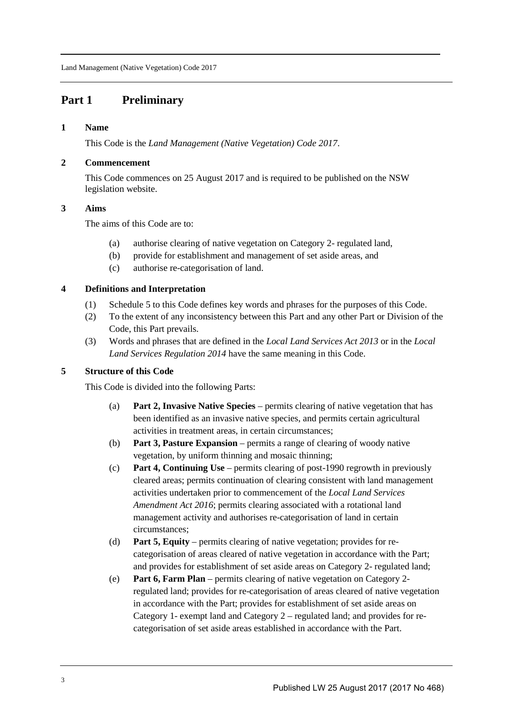## **Part 1 Preliminary**

## **1 Name**

This Code is the *Land Management (Native Vegetation) Code 2017*.

## **2 Commencement**

This Code commences on 25 August 2017 and is required to be published on the NSW legislation website.

## **3 Aims**

The aims of this Code are to:

- (a) authorise clearing of native vegetation on Category 2- regulated land,
- (b) provide for establishment and management of set aside areas, and
- (c) authorise re-categorisation of land.

## **4 Definitions and Interpretation**

- (1) Schedule 5 to this Code defines key words and phrases for the purposes of this Code.
- (2) To the extent of any inconsistency between this Part and any other Part or Division of the Code, this Part prevails.
- (3) Words and phrases that are defined in the *Local Land Services Act 2013* or in the *Local Land Services Regulation 2014* have the same meaning in this Code.

## **5 Structure of this Code**

This Code is divided into the following Parts:

- (a) **Part 2, Invasive Native Species** permits clearing of native vegetation that has been identified as an invasive native species, and permits certain agricultural activities in treatment areas, in certain circumstances;
- (b) **Part 3, Pasture Expansion** permits a range of clearing of woody native vegetation, by uniform thinning and mosaic thinning;
- (c) **Part 4, Continuing Use** permits clearing of post-1990 regrowth in previously cleared areas; permits continuation of clearing consistent with land management activities undertaken prior to commencement of the *Local Land Services Amendment Act 2016*; permits clearing associated with a rotational land management activity and authorises re-categorisation of land in certain circumstances;
- (d) **Part 5, Equity** permits clearing of native vegetation; provides for recategorisation of areas cleared of native vegetation in accordance with the Part; and provides for establishment of set aside areas on Category 2- regulated land;
- (e) **Part 6, Farm Plan** permits clearing of native vegetation on Category 2 regulated land; provides for re-categorisation of areas cleared of native vegetation in accordance with the Part; provides for establishment of set aside areas on Category 1- exempt land and Category 2 – regulated land; and provides for recategorisation of set aside areas established in accordance with the Part.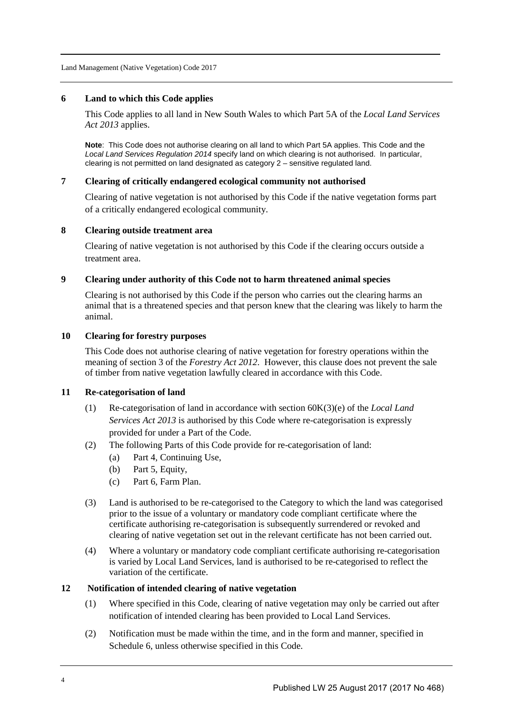#### **6 Land to which this Code applies**

This Code applies to all land in New South Wales to which Part 5A of the *Local Land Services Act 2013* applies.

**Note**: This Code does not authorise clearing on all land to which Part 5A applies. This Code and the Local Land Services Regulation 2014 specify land on which clearing is not authorised. In particular, clearing is not permitted on land designated as category 2 – sensitive regulated land.

#### **7 Clearing of critically endangered ecological community not authorised**

Clearing of native vegetation is not authorised by this Code if the native vegetation forms part of a critically endangered ecological community.

#### **8 Clearing outside treatment area**

Clearing of native vegetation is not authorised by this Code if the clearing occurs outside a treatment area.

#### **9 Clearing under authority of this Code not to harm threatened animal species**

Clearing is not authorised by this Code if the person who carries out the clearing harms an animal that is a threatened species and that person knew that the clearing was likely to harm the animal.

#### **10 Clearing for forestry purposes**

This Code does not authorise clearing of native vegetation for forestry operations within the meaning of section 3 of the *Forestry Act 2012*. However, this clause does not prevent the sale of timber from native vegetation lawfully cleared in accordance with this Code.

#### **11 Re-categorisation of land**

- (1) Re-categorisation of land in accordance with section 60K(3)(e) of the *Local Land Services Act 2013* is authorised by this Code where re-categorisation is expressly provided for under a Part of the Code.
- (2) The following Parts of this Code provide for re-categorisation of land:
	- (a) Part 4, Continuing Use,
	- (b) Part 5, Equity,
	- (c) Part 6, Farm Plan.
- (3) Land is authorised to be re-categorised to the Category to which the land was categorised prior to the issue of a voluntary or mandatory code compliant certificate where the certificate authorising re-categorisation is subsequently surrendered or revoked and clearing of native vegetation set out in the relevant certificate has not been carried out.
- (4) Where a voluntary or mandatory code compliant certificate authorising re-categorisation is varied by Local Land Services, land is authorised to be re-categorised to reflect the variation of the certificate.

#### **12 Notification of intended clearing of native vegetation**

- (1) Where specified in this Code, clearing of native vegetation may only be carried out after notification of intended clearing has been provided to Local Land Services.
- (2) Notification must be made within the time, and in the form and manner, specified in Schedule 6, unless otherwise specified in this Code.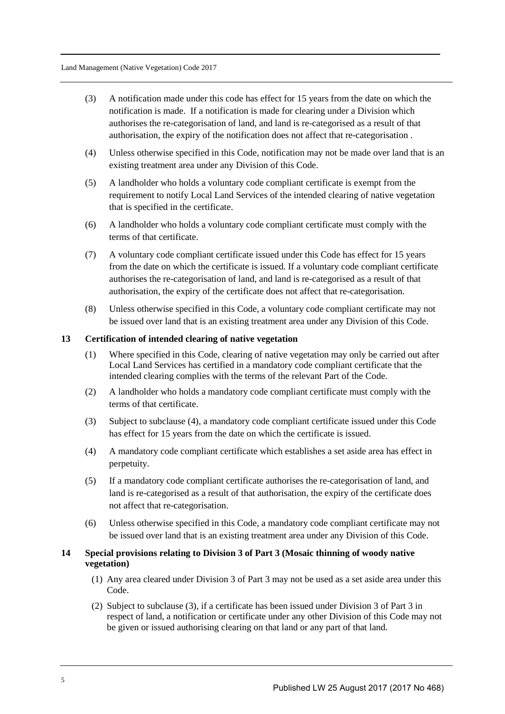- (3) A notification made under this code has effect for 15 years from the date on which the notification is made. If a notification is made for clearing under a Division which authorises the re-categorisation of land, and land is re-categorised as a result of that authorisation, the expiry of the notification does not affect that re-categorisation .
- (4) Unless otherwise specified in this Code, notification may not be made over land that is an existing treatment area under any Division of this Code.
- (5) A landholder who holds a voluntary code compliant certificate is exempt from the requirement to notify Local Land Services of the intended clearing of native vegetation that is specified in the certificate.
- (6) A landholder who holds a voluntary code compliant certificate must comply with the terms of that certificate.
- (7) A voluntary code compliant certificate issued under this Code has effect for 15 years from the date on which the certificate is issued. If a voluntary code compliant certificate authorises the re-categorisation of land, and land is re-categorised as a result of that authorisation, the expiry of the certificate does not affect that re-categorisation.
- (8) Unless otherwise specified in this Code, a voluntary code compliant certificate may not be issued over land that is an existing treatment area under any Division of this Code.

#### **13 Certification of intended clearing of native vegetation**

- (1) Where specified in this Code, clearing of native vegetation may only be carried out after Local Land Services has certified in a mandatory code compliant certificate that the intended clearing complies with the terms of the relevant Part of the Code.
- (2) A landholder who holds a mandatory code compliant certificate must comply with the terms of that certificate.
- (3) Subject to subclause (4), a mandatory code compliant certificate issued under this Code has effect for 15 years from the date on which the certificate is issued.
- (4) A mandatory code compliant certificate which establishes a set aside area has effect in perpetuity.
- (5) If a mandatory code compliant certificate authorises the re-categorisation of land, and land is re-categorised as a result of that authorisation, the expiry of the certificate does not affect that re-categorisation.
- (6) Unless otherwise specified in this Code, a mandatory code compliant certificate may not be issued over land that is an existing treatment area under any Division of this Code.

## **14 Special provisions relating to Division 3 of Part 3 (Mosaic thinning of woody native vegetation)**

- (1) Any area cleared under Division 3 of Part 3 may not be used as a set aside area under this Code.
- (2) Subject to subclause (3), if a certificate has been issued under Division 3 of Part 3 in respect of land, a notification or certificate under any other Division of this Code may not be given or issued authorising clearing on that land or any part of that land.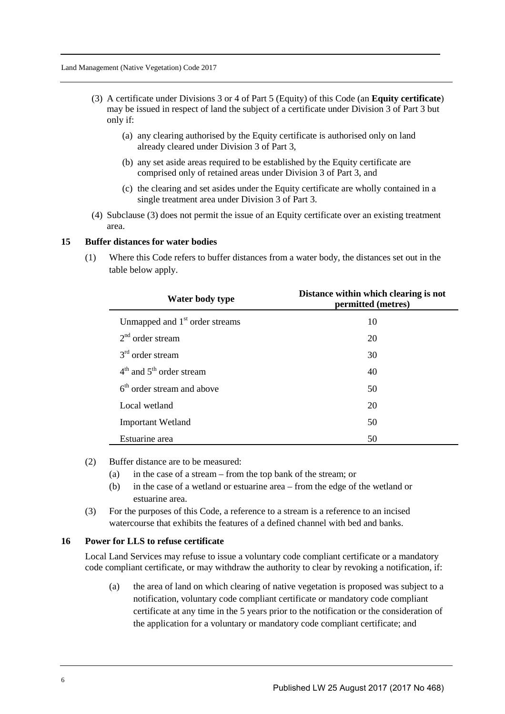- (3) A certificate under Divisions 3 or 4 of Part 5 (Equity) of this Code (an **Equity certificate**) may be issued in respect of land the subject of a certificate under Division 3 of Part 3 but only if:
	- (a) any clearing authorised by the Equity certificate is authorised only on land already cleared under Division 3 of Part 3,
	- (b) any set aside areas required to be established by the Equity certificate are comprised only of retained areas under Division 3 of Part 3, and
	- (c) the clearing and set asides under the Equity certificate are wholly contained in a single treatment area under Division 3 of Part 3.
- (4) Subclause (3) does not permit the issue of an Equity certificate over an existing treatment area.

#### **15 Buffer distances for water bodies**

(1) Where this Code refers to buffer distances from a water body, the distances set out in the table below apply.

| Water body type                            | Distance within which clearing is not<br>permitted (metres) |
|--------------------------------------------|-------------------------------------------------------------|
| Unmapped and 1 <sup>st</sup> order streams | 10                                                          |
| $2nd$ order stream                         | 20                                                          |
| $3rd$ order stream                         | 30                                                          |
| $4th$ and $5th$ order stream               | 40                                                          |
| $6th$ order stream and above               | 50                                                          |
| Local wetland                              | 20                                                          |
| <b>Important Wetland</b>                   | 50                                                          |
| Estuarine area                             | 50                                                          |

- (2) Buffer distance are to be measured:
	- (a) in the case of a stream from the top bank of the stream; or
	- (b) in the case of a wetland or estuarine area from the edge of the wetland or estuarine area.
- (3) For the purposes of this Code, a reference to a stream is a reference to an incised watercourse that exhibits the features of a defined channel with bed and banks.

#### **16 Power for LLS to refuse certificate**

Local Land Services may refuse to issue a voluntary code compliant certificate or a mandatory code compliant certificate, or may withdraw the authority to clear by revoking a notification, if:

(a) the area of land on which clearing of native vegetation is proposed was subject to a notification, voluntary code compliant certificate or mandatory code compliant certificate at any time in the 5 years prior to the notification or the consideration of the application for a voluntary or mandatory code compliant certificate; and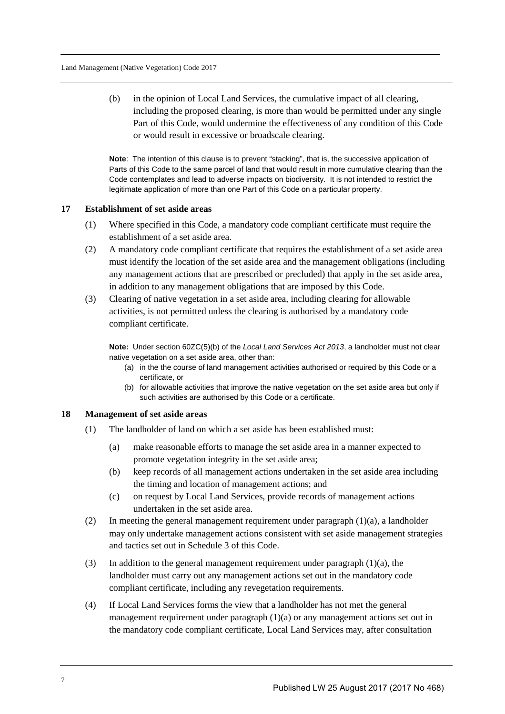(b) in the opinion of Local Land Services, the cumulative impact of all clearing, including the proposed clearing, is more than would be permitted under any single Part of this Code, would undermine the effectiveness of any condition of this Code or would result in excessive or broadscale clearing.

**Note**: The intention of this clause is to prevent "stacking", that is, the successive application of Parts of this Code to the same parcel of land that would result in more cumulative clearing than the Code contemplates and lead to adverse impacts on biodiversity. It is not intended to restrict the legitimate application of more than one Part of this Code on a particular property.

## **17 Establishment of set aside areas**

- (1) Where specified in this Code, a mandatory code compliant certificate must require the establishment of a set aside area.
- (2) A mandatory code compliant certificate that requires the establishment of a set aside area must identify the location of the set aside area and the management obligations (including any management actions that are prescribed or precluded) that apply in the set aside area, in addition to any management obligations that are imposed by this Code.
- (3) Clearing of native vegetation in a set aside area, including clearing for allowable activities, is not permitted unless the clearing is authorised by a mandatory code compliant certificate.

**Note:** Under section 60ZC(5)(b) of the Local Land Services Act 2013, a landholder must not clear native vegetation on a set aside area, other than:

- (a) in the the course of land management activities authorised or required by this Code or a certificate, or
- (b) for allowable activities that improve the native vegetation on the set aside area but only if such activities are authorised by this Code or a certificate.

#### **18 Management of set aside areas**

- (1) The landholder of land on which a set aside has been established must:
	- (a) make reasonable efforts to manage the set aside area in a manner expected to promote vegetation integrity in the set aside area;
	- (b) keep records of all management actions undertaken in the set aside area including the timing and location of management actions; and
	- (c) on request by Local Land Services, provide records of management actions undertaken in the set aside area.
- (2) In meeting the general management requirement under paragraph (1)(a), a landholder may only undertake management actions consistent with set aside management strategies and tactics set out in Schedule 3 of this Code.
- (3) In addition to the general management requirement under paragraph  $(1)(a)$ , the landholder must carry out any management actions set out in the mandatory code compliant certificate, including any revegetation requirements.
- (4) If Local Land Services forms the view that a landholder has not met the general management requirement under paragraph  $(1)(a)$  or any management actions set out in the mandatory code compliant certificate, Local Land Services may, after consultation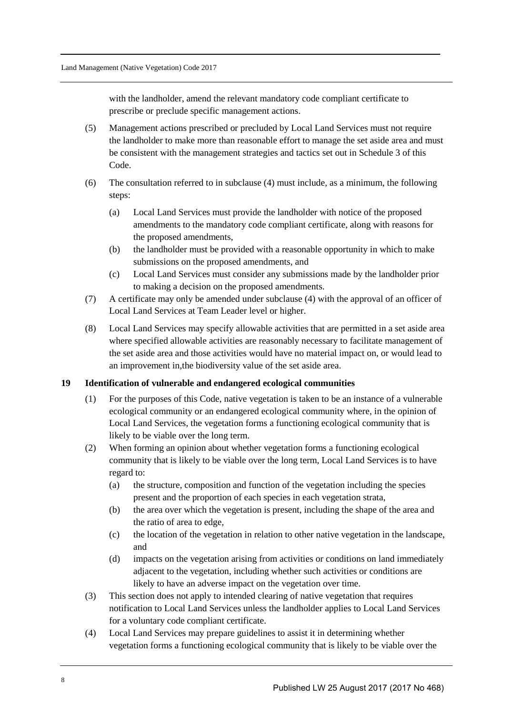with the landholder, amend the relevant mandatory code compliant certificate to prescribe or preclude specific management actions.

- (5) Management actions prescribed or precluded by Local Land Services must not require the landholder to make more than reasonable effort to manage the set aside area and must be consistent with the management strategies and tactics set out in Schedule 3 of this Code.
- (6) The consultation referred to in subclause (4) must include, as a minimum, the following steps:
	- (a) Local Land Services must provide the landholder with notice of the proposed amendments to the mandatory code compliant certificate, along with reasons for the proposed amendments,
	- (b) the landholder must be provided with a reasonable opportunity in which to make submissions on the proposed amendments, and
	- (c) Local Land Services must consider any submissions made by the landholder prior to making a decision on the proposed amendments.
- (7) A certificate may only be amended under subclause (4) with the approval of an officer of Local Land Services at Team Leader level or higher.
- (8) Local Land Services may specify allowable activities that are permitted in a set aside area where specified allowable activities are reasonably necessary to facilitate management of the set aside area and those activities would have no material impact on, or would lead to an improvement in,the biodiversity value of the set aside area.

#### **19 Identification of vulnerable and endangered ecological communities**

- (1) For the purposes of this Code, native vegetation is taken to be an instance of a vulnerable ecological community or an endangered ecological community where, in the opinion of Local Land Services, the vegetation forms a functioning ecological community that is likely to be viable over the long term.
- (2) When forming an opinion about whether vegetation forms a functioning ecological community that is likely to be viable over the long term, Local Land Services is to have regard to:
	- (a) the structure, composition and function of the vegetation including the species present and the proportion of each species in each vegetation strata,
	- (b) the area over which the vegetation is present, including the shape of the area and the ratio of area to edge,
	- (c) the location of the vegetation in relation to other native vegetation in the landscape, and
	- (d) impacts on the vegetation arising from activities or conditions on land immediately adjacent to the vegetation, including whether such activities or conditions are likely to have an adverse impact on the vegetation over time.
- (3) This section does not apply to intended clearing of native vegetation that requires notification to Local Land Services unless the landholder applies to Local Land Services for a voluntary code compliant certificate.
- (4) Local Land Services may prepare guidelines to assist it in determining whether vegetation forms a functioning ecological community that is likely to be viable over the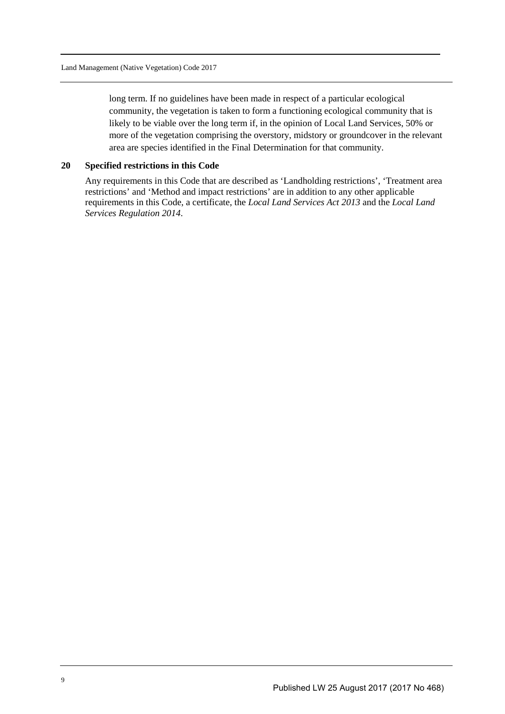long term. If no guidelines have been made in respect of a particular ecological community, the vegetation is taken to form a functioning ecological community that is likely to be viable over the long term if, in the opinion of Local Land Services, 50% or more of the vegetation comprising the overstory, midstory or groundcover in the relevant area are species identified in the Final Determination for that community.

## **20 Specified restrictions in this Code**

Any requirements in this Code that are described as 'Landholding restrictions', 'Treatment area restrictions' and 'Method and impact restrictions' are in addition to any other applicable requirements in this Code, a certificate, the *Local Land Services Act 2013* and the *Local Land Services Regulation 2014*.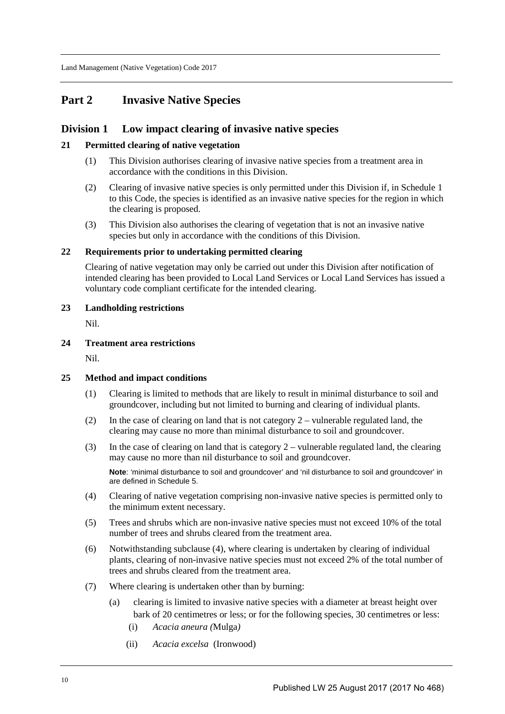## **Part 2 Invasive Native Species**

## **Division 1 Low impact clearing of invasive native species**

#### **21 Permitted clearing of native vegetation**

- (1) This Division authorises clearing of invasive native species from a treatment area in accordance with the conditions in this Division.
- (2) Clearing of invasive native species is only permitted under this Division if, in Schedule 1 to this Code, the species is identified as an invasive native species for the region in which the clearing is proposed.
- (3) This Division also authorises the clearing of vegetation that is not an invasive native species but only in accordance with the conditions of this Division.

#### **22 Requirements prior to undertaking permitted clearing**

Clearing of native vegetation may only be carried out under this Division after notification of intended clearing has been provided to Local Land Services or Local Land Services has issued a voluntary code compliant certificate for the intended clearing.

#### **23 Landholding restrictions**

Nil.

#### **24 Treatment area restrictions**

Nil.

#### **25 Method and impact conditions**

- (1) Clearing is limited to methods that are likely to result in minimal disturbance to soil and groundcover, including but not limited to burning and clearing of individual plants.
- (2) In the case of clearing on land that is not category 2 vulnerable regulated land, the clearing may cause no more than minimal disturbance to soil and groundcover.
- (3) In the case of clearing on land that is category  $2$  vulnerable regulated land, the clearing may cause no more than nil disturbance to soil and groundcover.

**Note**: 'minimal disturbance to soil and groundcover' and 'nil disturbance to soil and groundcover' in are defined in Schedule 5.

- (4) Clearing of native vegetation comprising non-invasive native species is permitted only to the minimum extent necessary.
- (5) Trees and shrubs which are non-invasive native species must not exceed 10% of the total number of trees and shrubs cleared from the treatment area.
- (6) Notwithstanding subclause (4), where clearing is undertaken by clearing of individual plants, clearing of non-invasive native species must not exceed 2% of the total number of trees and shrubs cleared from the treatment area.
- (7) Where clearing is undertaken other than by burning:
	- (a) clearing is limited to invasive native species with a diameter at breast height over bark of 20 centimetres or less; or for the following species, 30 centimetres or less:
		- (i) *Acacia aneura (*Mulga*)*
		- (ii) *Acacia excelsa* (Ironwood)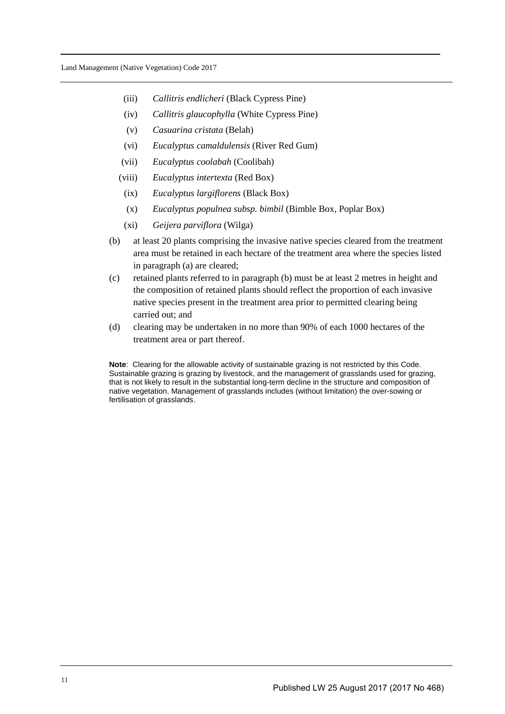- (iii) *Callitris endlicheri* (Black Cypress Pine)
- (iv) *Callitris glaucophylla* (White Cypress Pine)
- (v) *Casuarina cristata* (Belah)
- (vi) *Eucalyptus camaldulensis* (River Red Gum)
- (vii) *Eucalyptus coolabah* (Coolibah)
- (viii) *Eucalyptus intertexta* (Red Box)
	- (ix) *Eucalyptus largiflorens* (Black Box)
	- (x) *Eucalyptus populnea subsp. bimbil* (Bimble Box, Poplar Box)
	- (xi) *Geijera parviflora* (Wilga)
- (b) at least 20 plants comprising the invasive native species cleared from the treatment area must be retained in each hectare of the treatment area where the species listed in paragraph (a) are cleared;
- (c) retained plants referred to in paragraph (b) must be at least 2 metres in height and the composition of retained plants should reflect the proportion of each invasive native species present in the treatment area prior to permitted clearing being carried out; and
- (d) clearing may be undertaken in no more than 90% of each 1000 hectares of the treatment area or part thereof.

**Note**: Clearing for the allowable activity of sustainable grazing is not restricted by this Code. Sustainable grazing is grazing by livestock, and the management of grasslands used for grazing, that is not likely to result in the substantial long-term decline in the structure and composition of native vegetation. Management of grasslands includes (without limitation) the over-sowing or fertilisation of grasslands.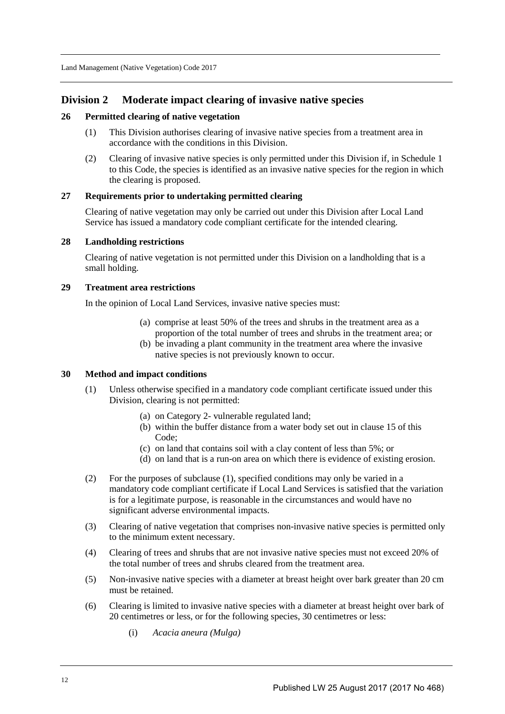## **Division 2 Moderate impact clearing of invasive native species**

#### **26 Permitted clearing of native vegetation**

- (1) This Division authorises clearing of invasive native species from a treatment area in accordance with the conditions in this Division.
- (2) Clearing of invasive native species is only permitted under this Division if, in Schedule 1 to this Code, the species is identified as an invasive native species for the region in which the clearing is proposed.

#### **27 Requirements prior to undertaking permitted clearing**

Clearing of native vegetation may only be carried out under this Division after Local Land Service has issued a mandatory code compliant certificate for the intended clearing.

#### **28 Landholding restrictions**

Clearing of native vegetation is not permitted under this Division on a landholding that is a small holding.

#### **29 Treatment area restrictions**

In the opinion of Local Land Services, invasive native species must:

- (a) comprise at least 50% of the trees and shrubs in the treatment area as a proportion of the total number of trees and shrubs in the treatment area; or
- (b) be invading a plant community in the treatment area where the invasive native species is not previously known to occur.

#### **30 Method and impact conditions**

- (1) Unless otherwise specified in a mandatory code compliant certificate issued under this Division, clearing is not permitted:
	- (a) on Category 2- vulnerable regulated land;
	- (b) within the buffer distance from a water body set out in clause 15 of this Code;
	- (c) on land that contains soil with a clay content of less than 5%; or
	- (d) on land that is a run-on area on which there is evidence of existing erosion.
- (2) For the purposes of subclause (1), specified conditions may only be varied in a mandatory code compliant certificate if Local Land Services is satisfied that the variation is for a legitimate purpose, is reasonable in the circumstances and would have no significant adverse environmental impacts.
- (3) Clearing of native vegetation that comprises non-invasive native species is permitted only to the minimum extent necessary.
- (4) Clearing of trees and shrubs that are not invasive native species must not exceed 20% of the total number of trees and shrubs cleared from the treatment area.
- (5) Non-invasive native species with a diameter at breast height over bark greater than 20 cm must be retained.
- (6) Clearing is limited to invasive native species with a diameter at breast height over bark of 20 centimetres or less, or for the following species, 30 centimetres or less:
	- (i) *Acacia aneura (Mulga)*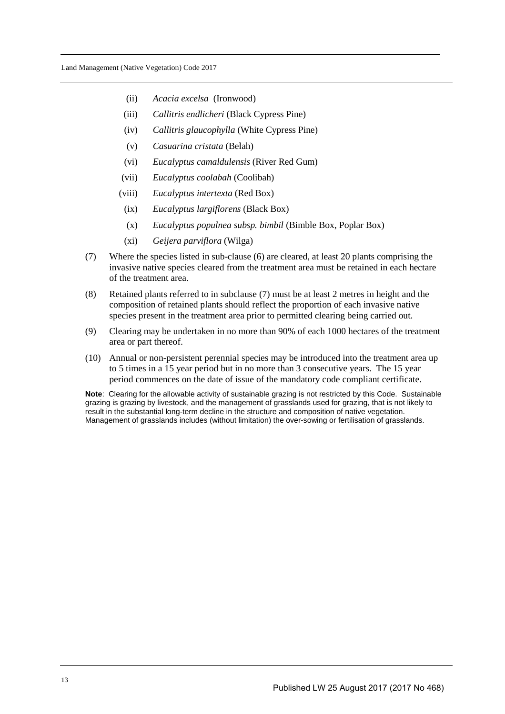- (ii) *Acacia excelsa* (Ironwood)
- (iii) *Callitris endlicheri* (Black Cypress Pine)
- (iv) *Callitris glaucophylla* (White Cypress Pine)
- (v) *Casuarina cristata* (Belah)
- (vi) *Eucalyptus camaldulensis* (River Red Gum)
- (vii) *Eucalyptus coolabah* (Coolibah)
- (viii) *Eucalyptus intertexta* (Red Box)
- (ix) *Eucalyptus largiflorens* (Black Box)
- (x) *Eucalyptus populnea subsp. bimbil* (Bimble Box, Poplar Box)
- (xi) *Geijera parviflora* (Wilga)
- (7) Where the species listed in sub-clause (6) are cleared, at least 20 plants comprising the invasive native species cleared from the treatment area must be retained in each hectare of the treatment area.
- (8) Retained plants referred to in subclause (7) must be at least 2 metres in height and the composition of retained plants should reflect the proportion of each invasive native species present in the treatment area prior to permitted clearing being carried out.
- (9) Clearing may be undertaken in no more than 90% of each 1000 hectares of the treatment area or part thereof.
- (10) Annual or non-persistent perennial species may be introduced into the treatment area up to 5 times in a 15 year period but in no more than 3 consecutive years. The 15 year period commences on the date of issue of the mandatory code compliant certificate.

**Note**: Clearing for the allowable activity of sustainable grazing is not restricted by this Code. Sustainable grazing is grazing by livestock, and the management of grasslands used for grazing, that is not likely to result in the substantial long-term decline in the structure and composition of native vegetation. Management of grasslands includes (without limitation) the over-sowing or fertilisation of grasslands.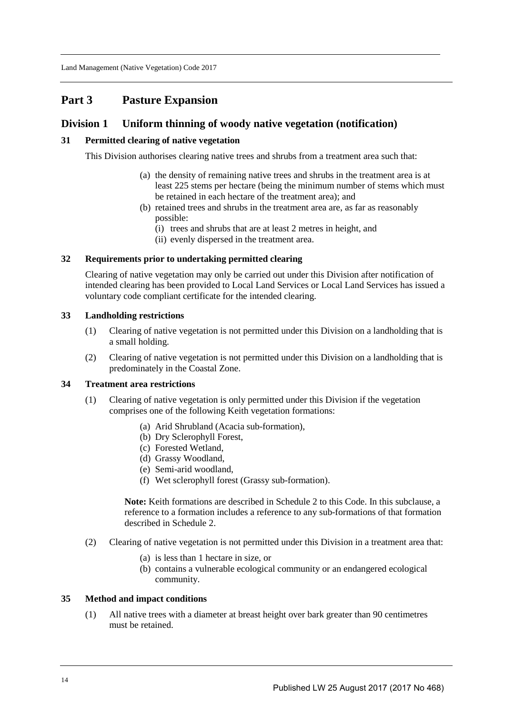## **Part 3 Pasture Expansion**

## **Division 1 Uniform thinning of woody native vegetation (notification)**

## **31 Permitted clearing of native vegetation**

This Division authorises clearing native trees and shrubs from a treatment area such that:

- (a) the density of remaining native trees and shrubs in the treatment area is at least 225 stems per hectare (being the minimum number of stems which must be retained in each hectare of the treatment area); and
- (b) retained trees and shrubs in the treatment area are, as far as reasonably possible:
	- (i) trees and shrubs that are at least 2 metres in height, and
	- (ii) evenly dispersed in the treatment area.

## **32 Requirements prior to undertaking permitted clearing**

Clearing of native vegetation may only be carried out under this Division after notification of intended clearing has been provided to Local Land Services or Local Land Services has issued a voluntary code compliant certificate for the intended clearing.

#### **33 Landholding restrictions**

- (1) Clearing of native vegetation is not permitted under this Division on a landholding that is a small holding.
- (2) Clearing of native vegetation is not permitted under this Division on a landholding that is predominately in the Coastal Zone.

## **34 Treatment area restrictions**

- (1) Clearing of native vegetation is only permitted under this Division if the vegetation comprises one of the following Keith vegetation formations:
	- (a) Arid Shrubland (Acacia sub-formation),
	- (b) Dry Sclerophyll Forest,
	- (c) Forested Wetland,
	- (d) Grassy Woodland,
	- (e) Semi-arid woodland,
	- (f) Wet sclerophyll forest (Grassy sub-formation).

**Note:** Keith formations are described in Schedule 2 to this Code. In this subclause, a reference to a formation includes a reference to any sub-formations of that formation described in Schedule 2.

- (2) Clearing of native vegetation is not permitted under this Division in a treatment area that:
	- (a) is less than 1 hectare in size, or
	- (b) contains a vulnerable ecological community or an endangered ecological community.

### **35 Method and impact conditions**

(1) All native trees with a diameter at breast height over bark greater than 90 centimetres must be retained.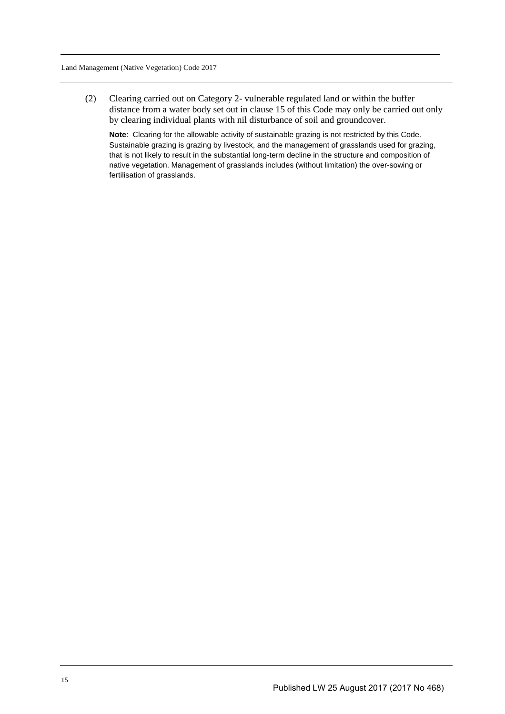(2) Clearing carried out on Category 2- vulnerable regulated land or within the buffer distance from a water body set out in clause 15 of this Code may only be carried out only by clearing individual plants with nil disturbance of soil and groundcover.

**Note**: Clearing for the allowable activity of sustainable grazing is not restricted by this Code. Sustainable grazing is grazing by livestock, and the management of grasslands used for grazing, that is not likely to result in the substantial long-term decline in the structure and composition of native vegetation. Management of grasslands includes (without limitation) the over-sowing or fertilisation of grasslands.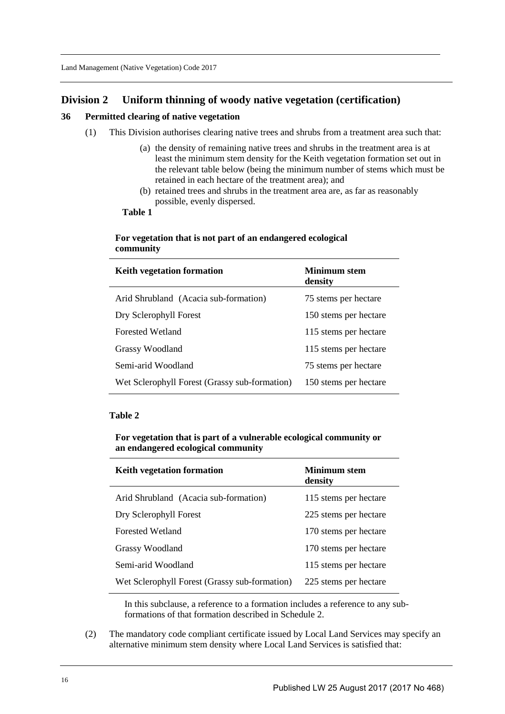## **Division 2 Uniform thinning of woody native vegetation (certification)**

## **36 Permitted clearing of native vegetation**

- (1) This Division authorises clearing native trees and shrubs from a treatment area such that:
	- (a) the density of remaining native trees and shrubs in the treatment area is at least the minimum stem density for the Keith vegetation formation set out in the relevant table below (being the minimum number of stems which must be retained in each hectare of the treatment area); and
	- (b) retained trees and shrubs in the treatment area are, as far as reasonably possible, evenly dispersed.

### **Table 1**

## **For vegetation that is not part of an endangered ecological community**

| Keith vegetation formation                    | Minimum stem<br>density |
|-----------------------------------------------|-------------------------|
| Arid Shrubland (Acacia sub-formation)         | 75 stems per hectare    |
| Dry Sclerophyll Forest                        | 150 stems per hectare   |
| <b>Forested Wetland</b>                       | 115 stems per hectare   |
| Grassy Woodland                               | 115 stems per hectare   |
| Semi-arid Woodland                            | 75 stems per hectare    |
| Wet Sclerophyll Forest (Grassy sub-formation) | 150 stems per hectare   |

#### **Table 2**

**For vegetation that is part of a vulnerable ecological community or an endangered ecological community** 

| Keith vegetation formation                    | Minimum stem<br>density |
|-----------------------------------------------|-------------------------|
| Arid Shrubland (Acacia sub-formation)         | 115 stems per hectare   |
| Dry Sclerophyll Forest                        | 225 stems per hectare   |
| <b>Forested Wetland</b>                       | 170 stems per hectare   |
| <b>Grassy Woodland</b>                        | 170 stems per hectare   |
| Semi-arid Woodland                            | 115 stems per hectare   |
| Wet Sclerophyll Forest (Grassy sub-formation) | 225 stems per hectare   |

In this subclause, a reference to a formation includes a reference to any subformations of that formation described in Schedule 2.

(2) The mandatory code compliant certificate issued by Local Land Services may specify an alternative minimum stem density where Local Land Services is satisfied that: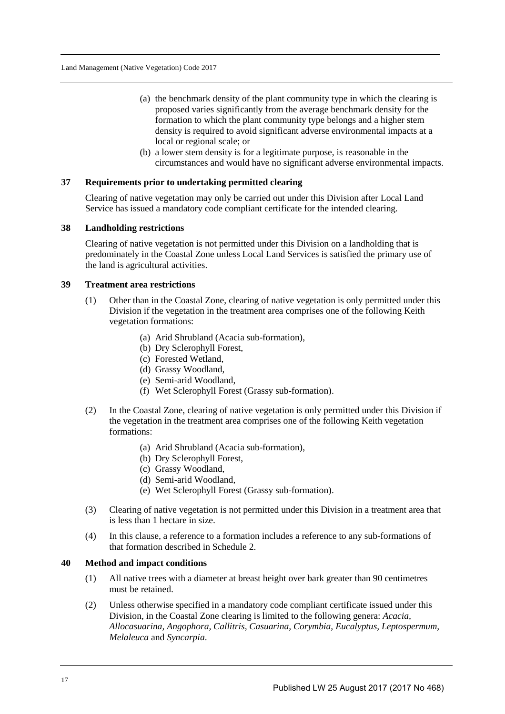- (a) the benchmark density of the plant community type in which the clearing is proposed varies significantly from the average benchmark density for the formation to which the plant community type belongs and a higher stem density is required to avoid significant adverse environmental impacts at a local or regional scale; or
- (b) a lower stem density is for a legitimate purpose, is reasonable in the circumstances and would have no significant adverse environmental impacts.

#### **37 Requirements prior to undertaking permitted clearing**

Clearing of native vegetation may only be carried out under this Division after Local Land Service has issued a mandatory code compliant certificate for the intended clearing.

#### **38 Landholding restrictions**

Clearing of native vegetation is not permitted under this Division on a landholding that is predominately in the Coastal Zone unless Local Land Services is satisfied the primary use of the land is agricultural activities.

#### **39 Treatment area restrictions**

- (1) Other than in the Coastal Zone, clearing of native vegetation is only permitted under this Division if the vegetation in the treatment area comprises one of the following Keith vegetation formations:
	- (a) Arid Shrubland (Acacia sub-formation),
	- (b) Dry Sclerophyll Forest,
	- (c) Forested Wetland,
	- (d) Grassy Woodland,
	- (e) Semi-arid Woodland,
	- (f) Wet Sclerophyll Forest (Grassy sub-formation).
- (2) In the Coastal Zone, clearing of native vegetation is only permitted under this Division if the vegetation in the treatment area comprises one of the following Keith vegetation formations:
	- (a) Arid Shrubland (Acacia sub-formation),
	- (b) Dry Sclerophyll Forest,
	- (c) Grassy Woodland,
	- (d) Semi-arid Woodland,
	- (e) Wet Sclerophyll Forest (Grassy sub-formation).
- (3) Clearing of native vegetation is not permitted under this Division in a treatment area that is less than 1 hectare in size.
- (4) In this clause, a reference to a formation includes a reference to any sub-formations of that formation described in Schedule 2.

### **40 Method and impact conditions**

- (1) All native trees with a diameter at breast height over bark greater than 90 centimetres must be retained.
- (2) Unless otherwise specified in a mandatory code compliant certificate issued under this Division, in the Coastal Zone clearing is limited to the following genera: *Acacia, Allocasuarina, Angophora, Callitris, Casuarina, Corymbia, Eucalyptus, Leptospermum, Melaleuca* and *Syncarpia*.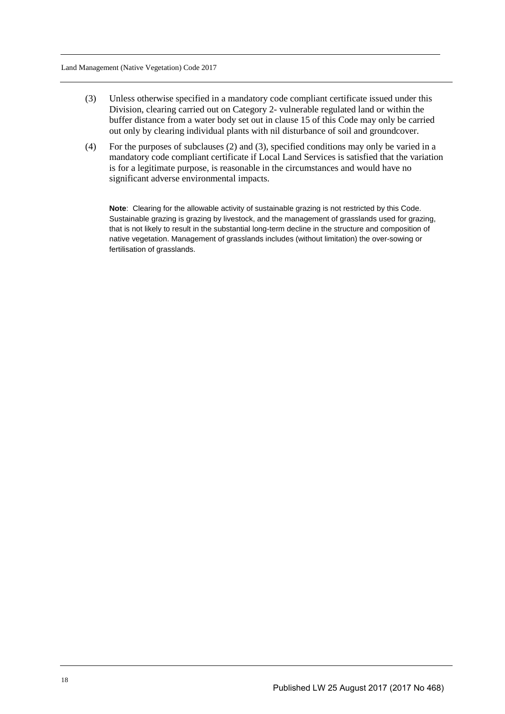- (3) Unless otherwise specified in a mandatory code compliant certificate issued under this Division, clearing carried out on Category 2- vulnerable regulated land or within the buffer distance from a water body set out in clause 15 of this Code may only be carried out only by clearing individual plants with nil disturbance of soil and groundcover.
- (4) For the purposes of subclauses (2) and (3), specified conditions may only be varied in a mandatory code compliant certificate if Local Land Services is satisfied that the variation is for a legitimate purpose, is reasonable in the circumstances and would have no significant adverse environmental impacts.

**Note**: Clearing for the allowable activity of sustainable grazing is not restricted by this Code. Sustainable grazing is grazing by livestock, and the management of grasslands used for grazing, that is not likely to result in the substantial long-term decline in the structure and composition of native vegetation. Management of grasslands includes (without limitation) the over-sowing or fertilisation of grasslands.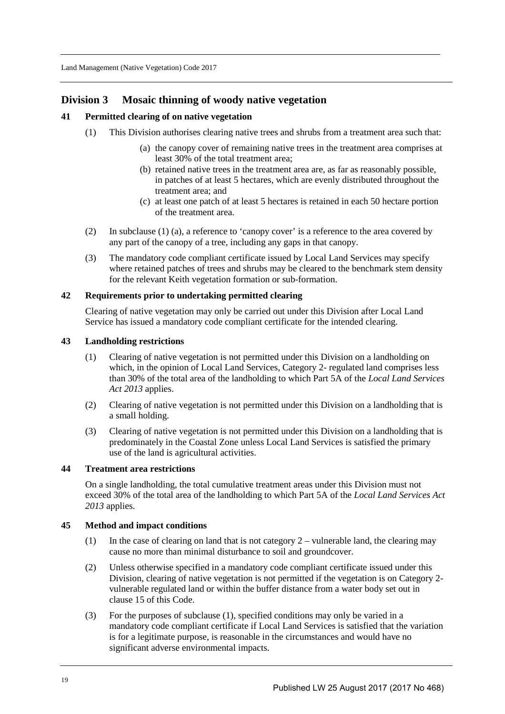## **Division 3 Mosaic thinning of woody native vegetation**

## **41 Permitted clearing of on native vegetation**

- (1) This Division authorises clearing native trees and shrubs from a treatment area such that:
	- (a) the canopy cover of remaining native trees in the treatment area comprises at least 30% of the total treatment area;
	- (b) retained native trees in the treatment area are, as far as reasonably possible, in patches of at least 5 hectares, which are evenly distributed throughout the treatment area; and
	- (c) at least one patch of at least 5 hectares is retained in each 50 hectare portion of the treatment area.
- (2) In subclause (1) (a), a reference to 'canopy cover' is a reference to the area covered by any part of the canopy of a tree, including any gaps in that canopy.
- (3) The mandatory code compliant certificate issued by Local Land Services may specify where retained patches of trees and shrubs may be cleared to the benchmark stem density for the relevant Keith vegetation formation or sub-formation.

## **42 Requirements prior to undertaking permitted clearing**

Clearing of native vegetation may only be carried out under this Division after Local Land Service has issued a mandatory code compliant certificate for the intended clearing.

#### **43 Landholding restrictions**

- (1) Clearing of native vegetation is not permitted under this Division on a landholding on which, in the opinion of Local Land Services, Category 2- regulated land comprises less than 30% of the total area of the landholding to which Part 5A of the *Local Land Services Act 2013* applies.
- (2) Clearing of native vegetation is not permitted under this Division on a landholding that is a small holding.
- (3) Clearing of native vegetation is not permitted under this Division on a landholding that is predominately in the Coastal Zone unless Local Land Services is satisfied the primary use of the land is agricultural activities.

## **44 Treatment area restrictions**

On a single landholding, the total cumulative treatment areas under this Division must not exceed 30% of the total area of the landholding to which Part 5A of the *Local Land Services Act 2013* applies.

## **45 Method and impact conditions**

- (1) In the case of clearing on land that is not category  $2$  vulnerable land, the clearing may cause no more than minimal disturbance to soil and groundcover.
- (2) Unless otherwise specified in a mandatory code compliant certificate issued under this Division, clearing of native vegetation is not permitted if the vegetation is on Category 2 vulnerable regulated land or within the buffer distance from a water body set out in clause 15 of this Code.
- (3) For the purposes of subclause (1), specified conditions may only be varied in a mandatory code compliant certificate if Local Land Services is satisfied that the variation is for a legitimate purpose, is reasonable in the circumstances and would have no significant adverse environmental impacts.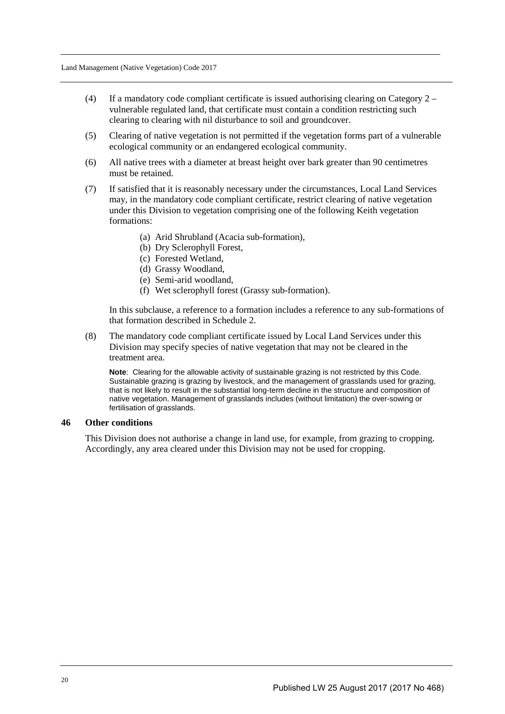- (4) If a mandatory code compliant certificate is issued authorising clearing on Category  $2$ vulnerable regulated land, that certificate must contain a condition restricting such clearing to clearing with nil disturbance to soil and groundcover.
- (5) Clearing of native vegetation is not permitted if the vegetation forms part of a vulnerable ecological community or an endangered ecological community.
- (6) All native trees with a diameter at breast height over bark greater than 90 centimetres must be retained.
- (7) If satisfied that it is reasonably necessary under the circumstances, Local Land Services may, in the mandatory code compliant certificate, restrict clearing of native vegetation under this Division to vegetation comprising one of the following Keith vegetation formations:
	- (a) Arid Shrubland (Acacia sub-formation),
	- (b) Dry Sclerophyll Forest,
	- (c) Forested Wetland,
	- (d) Grassy Woodland,
	- (e) Semi-arid woodland,
	- (f) Wet sclerophyll forest (Grassy sub-formation).

In this subclause, a reference to a formation includes a reference to any sub-formations of that formation described in Schedule 2.

(8) The mandatory code compliant certificate issued by Local Land Services under this Division may specify species of native vegetation that may not be cleared in the treatment area.

**Note**: Clearing for the allowable activity of sustainable grazing is not restricted by this Code. Sustainable grazing is grazing by livestock, and the management of grasslands used for grazing, that is not likely to result in the substantial long-term decline in the structure and composition of native vegetation. Management of grasslands includes (without limitation) the over-sowing or fertilisation of grasslands.

#### **46 Other conditions**

This Division does not authorise a change in land use, for example, from grazing to cropping. Accordingly, any area cleared under this Division may not be used for cropping.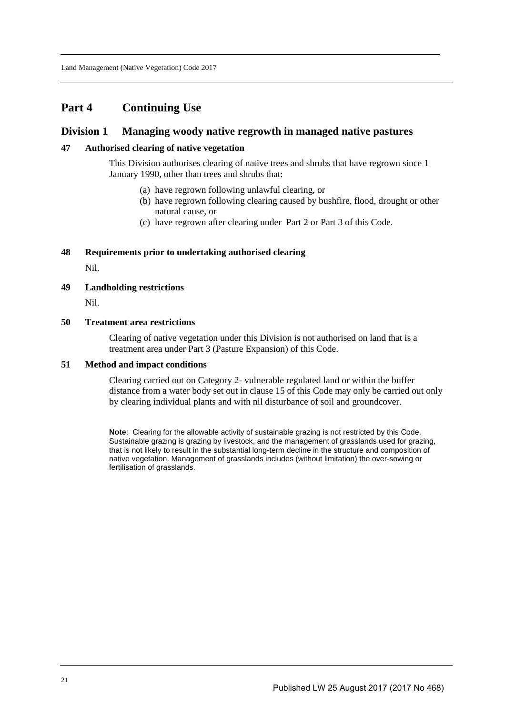## **Part 4 Continuing Use**

## **Division 1 Managing woody native regrowth in managed native pastures**

#### **47 Authorised clearing of native vegetation**

This Division authorises clearing of native trees and shrubs that have regrown since 1 January 1990, other than trees and shrubs that:

- (a) have regrown following unlawful clearing, or
- (b) have regrown following clearing caused by bushfire, flood, drought or other natural cause, or
- (c) have regrown after clearing under Part 2 or Part 3 of this Code.

#### **48 Requirements prior to undertaking authorised clearing**

Nil.

**49 Landholding restrictions** 

Nil.

#### **50 Treatment area restrictions**

Clearing of native vegetation under this Division is not authorised on land that is a treatment area under Part 3 (Pasture Expansion) of this Code.

#### **51 Method and impact conditions**

Clearing carried out on Category 2- vulnerable regulated land or within the buffer distance from a water body set out in clause 15 of this Code may only be carried out only by clearing individual plants and with nil disturbance of soil and groundcover.

**Note**: Clearing for the allowable activity of sustainable grazing is not restricted by this Code. Sustainable grazing is grazing by livestock, and the management of grasslands used for grazing, that is not likely to result in the substantial long-term decline in the structure and composition of native vegetation. Management of grasslands includes (without limitation) the over-sowing or fertilisation of grasslands.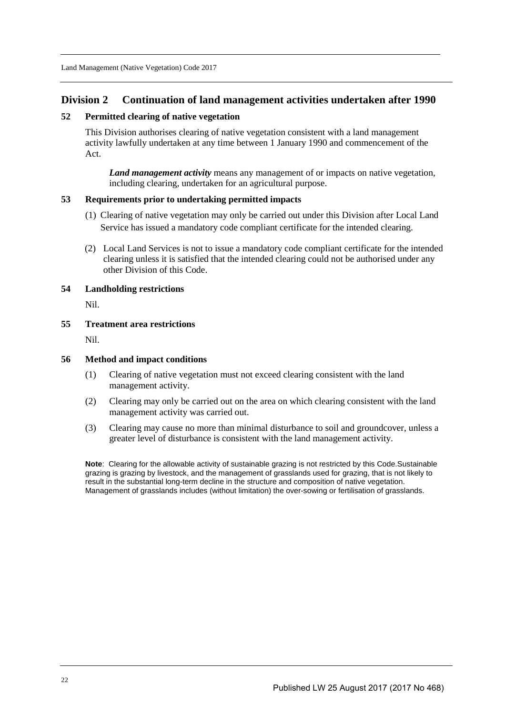## **Division 2 Continuation of land management activities undertaken after 1990**

## **52 Permitted clearing of native vegetation**

This Division authorises clearing of native vegetation consistent with a land management activity lawfully undertaken at any time between 1 January 1990 and commencement of the Act.

*Land management activity* means any management of or impacts on native vegetation, including clearing, undertaken for an agricultural purpose.

#### **53 Requirements prior to undertaking permitted impacts**

- (1) Clearing of native vegetation may only be carried out under this Division after Local Land Service has issued a mandatory code compliant certificate for the intended clearing.
- (2) Local Land Services is not to issue a mandatory code compliant certificate for the intended clearing unless it is satisfied that the intended clearing could not be authorised under any other Division of this Code.

#### **54 Landholding restrictions**

Nil.

#### **55 Treatment area restrictions**

Nil.

#### **56 Method and impact conditions**

- (1) Clearing of native vegetation must not exceed clearing consistent with the land management activity.
- (2) Clearing may only be carried out on the area on which clearing consistent with the land management activity was carried out.
- (3) Clearing may cause no more than minimal disturbance to soil and groundcover, unless a greater level of disturbance is consistent with the land management activity.

**Note**: Clearing for the allowable activity of sustainable grazing is not restricted by this Code.Sustainable grazing is grazing by livestock, and the management of grasslands used for grazing, that is not likely to result in the substantial long-term decline in the structure and composition of native vegetation. Management of grasslands includes (without limitation) the over-sowing or fertilisation of grasslands.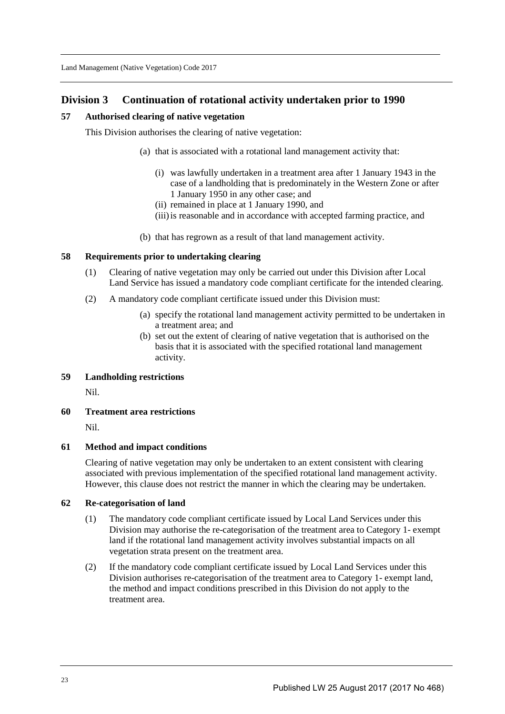## **Division 3 Continuation of rotational activity undertaken prior to 1990**

## **57 Authorised clearing of native vegetation**

This Division authorises the clearing of native vegetation:

- (a) that is associated with a rotational land management activity that:
	- (i) was lawfully undertaken in a treatment area after 1 January 1943 in the case of a landholding that is predominately in the Western Zone or after 1 January 1950 in any other case; and
	- (ii) remained in place at 1 January 1990, and
	- (iii)is reasonable and in accordance with accepted farming practice, and
- (b) that has regrown as a result of that land management activity.

#### **58 Requirements prior to undertaking clearing**

- (1) Clearing of native vegetation may only be carried out under this Division after Local Land Service has issued a mandatory code compliant certificate for the intended clearing.
- (2) A mandatory code compliant certificate issued under this Division must:
	- (a) specify the rotational land management activity permitted to be undertaken in a treatment area; and
	- (b) set out the extent of clearing of native vegetation that is authorised on the basis that it is associated with the specified rotational land management activity.

## **59 Landholding restrictions**

Nil.

#### **60 Treatment area restrictions**

Nil.

#### **61 Method and impact conditions**

Clearing of native vegetation may only be undertaken to an extent consistent with clearing associated with previous implementation of the specified rotational land management activity. However, this clause does not restrict the manner in which the clearing may be undertaken.

#### **62 Re-categorisation of land**

- (1) The mandatory code compliant certificate issued by Local Land Services under this Division may authorise the re-categorisation of the treatment area to Category 1- exempt land if the rotational land management activity involves substantial impacts on all vegetation strata present on the treatment area.
- (2) If the mandatory code compliant certificate issued by Local Land Services under this Division authorises re-categorisation of the treatment area to Category 1- exempt land, the method and impact conditions prescribed in this Division do not apply to the treatment area.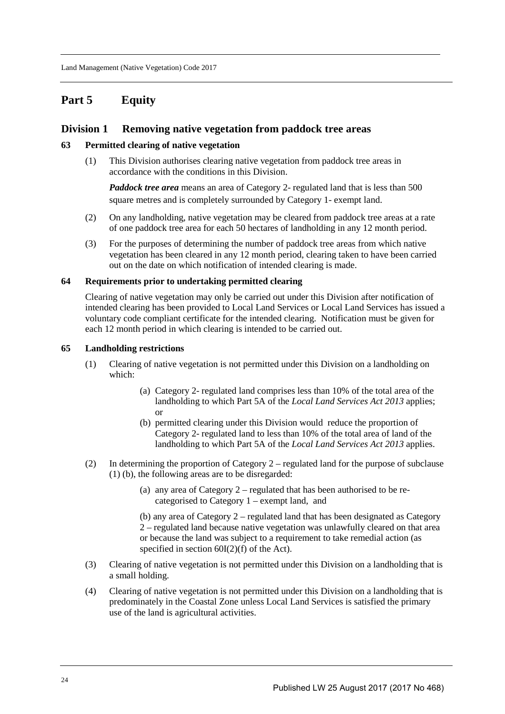# **Part 5 Equity**

## **Division 1 Removing native vegetation from paddock tree areas**

### **63 Permitted clearing of native vegetation**

(1) This Division authorises clearing native vegetation from paddock tree areas in accordance with the conditions in this Division.

*Paddock tree area* means an area of Category 2- regulated land that is less than 500 square metres and is completely surrounded by Category 1- exempt land.

- (2) On any landholding, native vegetation may be cleared from paddock tree areas at a rate of one paddock tree area for each 50 hectares of landholding in any 12 month period.
- (3) For the purposes of determining the number of paddock tree areas from which native vegetation has been cleared in any 12 month period, clearing taken to have been carried out on the date on which notification of intended clearing is made.

#### **64 Requirements prior to undertaking permitted clearing**

Clearing of native vegetation may only be carried out under this Division after notification of intended clearing has been provided to Local Land Services or Local Land Services has issued a voluntary code compliant certificate for the intended clearing. Notification must be given for each 12 month period in which clearing is intended to be carried out.

#### **65 Landholding restrictions**

- (1) Clearing of native vegetation is not permitted under this Division on a landholding on which:
	- (a) Category 2- regulated land comprises less than 10% of the total area of the landholding to which Part 5A of the *Local Land Services Act 2013* applies; or
	- (b) permitted clearing under this Division would reduce the proportion of Category 2- regulated land to less than 10% of the total area of land of the landholding to which Part 5A of the *Local Land Services Act 2013* applies.
- (2) In determining the proportion of Category  $2$  regulated land for the purpose of subclause (1) (b), the following areas are to be disregarded:
	- (a) any area of Category 2 regulated that has been authorised to be recategorised to Category 1 – exempt land, and

(b) any area of Category 2 – regulated land that has been designated as Category 2 – regulated land because native vegetation was unlawfully cleared on that area or because the land was subject to a requirement to take remedial action (as specified in section  $60I(2)(f)$  of the Act).

- (3) Clearing of native vegetation is not permitted under this Division on a landholding that is a small holding.
- (4) Clearing of native vegetation is not permitted under this Division on a landholding that is predominately in the Coastal Zone unless Local Land Services is satisfied the primary use of the land is agricultural activities.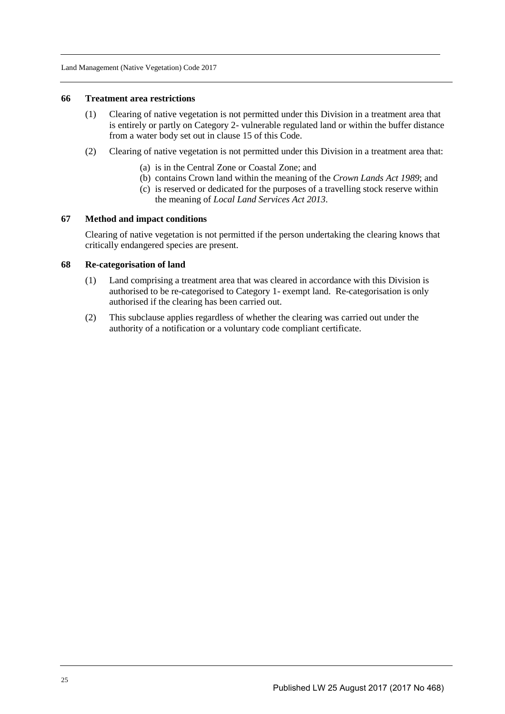#### **66 Treatment area restrictions**

- (1) Clearing of native vegetation is not permitted under this Division in a treatment area that is entirely or partly on Category 2- vulnerable regulated land or within the buffer distance from a water body set out in clause 15 of this Code.
- (2) Clearing of native vegetation is not permitted under this Division in a treatment area that:
	- (a) is in the Central Zone or Coastal Zone; and
	- (b) contains Crown land within the meaning of the *Crown Lands Act 1989*; and
	- (c) is reserved or dedicated for the purposes of a travelling stock reserve within the meaning of *Local Land Services Act 2013*.

#### **67 Method and impact conditions**

Clearing of native vegetation is not permitted if the person undertaking the clearing knows that critically endangered species are present.

#### **68 Re-categorisation of land**

- (1) Land comprising a treatment area that was cleared in accordance with this Division is authorised to be re-categorised to Category 1- exempt land. Re-categorisation is only authorised if the clearing has been carried out.
- (2) This subclause applies regardless of whether the clearing was carried out under the authority of a notification or a voluntary code compliant certificate.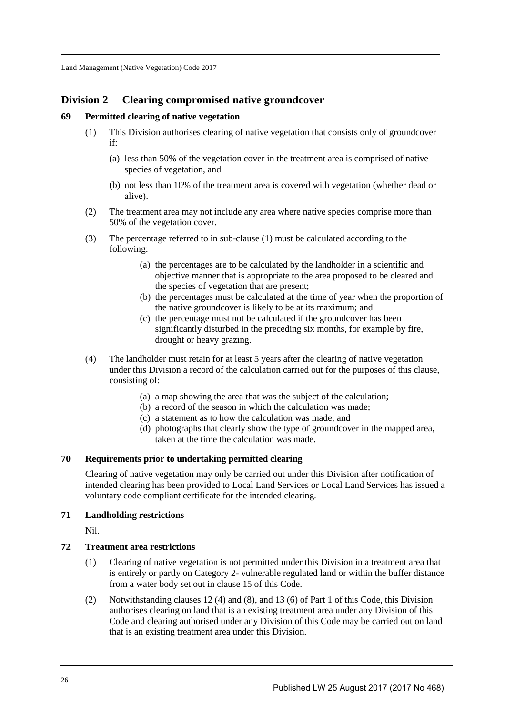## **Division 2 Clearing compromised native groundcover**

## **69 Permitted clearing of native vegetation**

- (1) This Division authorises clearing of native vegetation that consists only of groundcover if:
	- (a) less than 50% of the vegetation cover in the treatment area is comprised of native species of vegetation, and
	- (b) not less than 10% of the treatment area is covered with vegetation (whether dead or alive).
- (2) The treatment area may not include any area where native species comprise more than 50% of the vegetation cover.
- (3) The percentage referred to in sub-clause (1) must be calculated according to the following:
	- (a) the percentages are to be calculated by the landholder in a scientific and objective manner that is appropriate to the area proposed to be cleared and the species of vegetation that are present;
	- (b) the percentages must be calculated at the time of year when the proportion of the native groundcover is likely to be at its maximum; and
	- (c) the percentage must not be calculated if the groundcover has been significantly disturbed in the preceding six months, for example by fire, drought or heavy grazing.
- (4) The landholder must retain for at least 5 years after the clearing of native vegetation under this Division a record of the calculation carried out for the purposes of this clause, consisting of:
	- (a) a map showing the area that was the subject of the calculation;
	- (b) a record of the season in which the calculation was made;
	- (c) a statement as to how the calculation was made; and
	- (d) photographs that clearly show the type of groundcover in the mapped area, taken at the time the calculation was made.

## **70 Requirements prior to undertaking permitted clearing**

Clearing of native vegetation may only be carried out under this Division after notification of intended clearing has been provided to Local Land Services or Local Land Services has issued a voluntary code compliant certificate for the intended clearing.

### **71 Landholding restrictions**

Nil.

## **72 Treatment area restrictions**

- (1) Clearing of native vegetation is not permitted under this Division in a treatment area that is entirely or partly on Category 2- vulnerable regulated land or within the buffer distance from a water body set out in clause 15 of this Code.
- (2) Notwithstanding clauses 12 (4) and (8), and 13 (6) of Part 1 of this Code, this Division authorises clearing on land that is an existing treatment area under any Division of this Code and clearing authorised under any Division of this Code may be carried out on land that is an existing treatment area under this Division.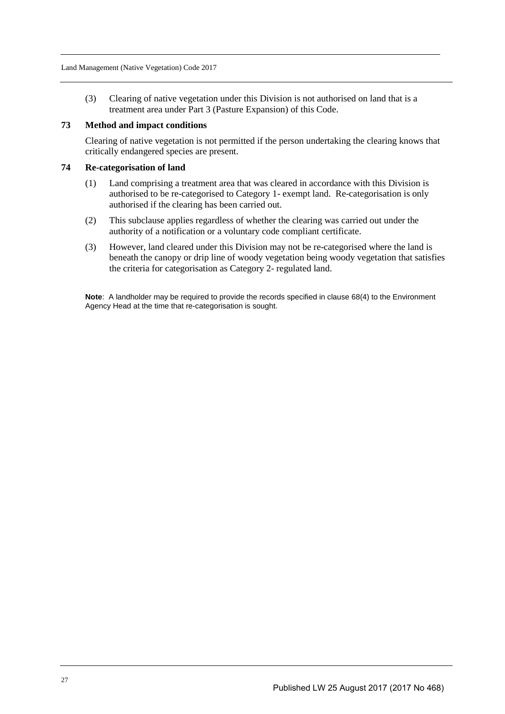(3) Clearing of native vegetation under this Division is not authorised on land that is a treatment area under Part 3 (Pasture Expansion) of this Code.

#### **73 Method and impact conditions**

Clearing of native vegetation is not permitted if the person undertaking the clearing knows that critically endangered species are present.

#### **74 Re-categorisation of land**

- (1) Land comprising a treatment area that was cleared in accordance with this Division is authorised to be re-categorised to Category 1- exempt land. Re-categorisation is only authorised if the clearing has been carried out.
- (2) This subclause applies regardless of whether the clearing was carried out under the authority of a notification or a voluntary code compliant certificate.
- (3) However, land cleared under this Division may not be re-categorised where the land is beneath the canopy or drip line of woody vegetation being woody vegetation that satisfies the criteria for categorisation as Category 2- regulated land.

**Note**: A landholder may be required to provide the records specified in clause 68(4) to the Environment Agency Head at the time that re-categorisation is sought.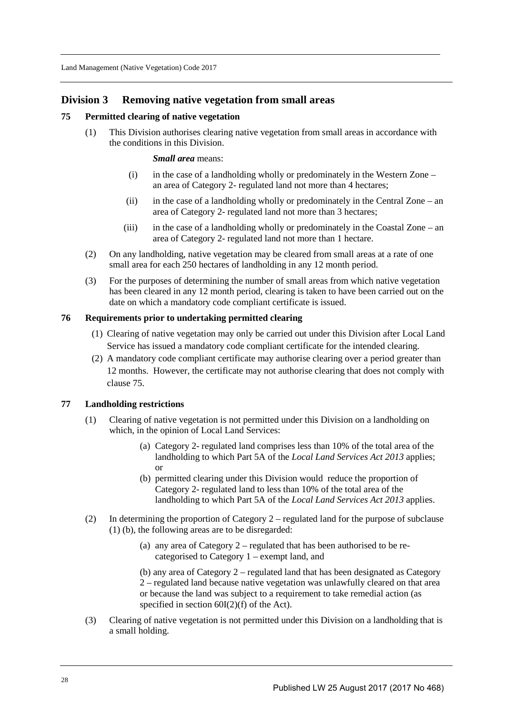## **Division 3 Removing native vegetation from small areas**

#### **75 Permitted clearing of native vegetation**

(1) This Division authorises clearing native vegetation from small areas in accordance with the conditions in this Division.

*Small area* means:

- (i) in the case of a landholding wholly or predominately in the Western Zone an area of Category 2- regulated land not more than 4 hectares;
- (ii) in the case of a landholding wholly or predominately in the Central Zone an area of Category 2- regulated land not more than 3 hectares;
- (iii) in the case of a landholding wholly or predominately in the Coastal Zone an area of Category 2- regulated land not more than 1 hectare.
- (2) On any landholding, native vegetation may be cleared from small areas at a rate of one small area for each 250 hectares of landholding in any 12 month period.
- (3) For the purposes of determining the number of small areas from which native vegetation has been cleared in any 12 month period, clearing is taken to have been carried out on the date on which a mandatory code compliant certificate is issued.

#### **76 Requirements prior to undertaking permitted clearing**

- (1) Clearing of native vegetation may only be carried out under this Division after Local Land Service has issued a mandatory code compliant certificate for the intended clearing.
- (2) A mandatory code compliant certificate may authorise clearing over a period greater than 12 months. However, the certificate may not authorise clearing that does not comply with clause 75.

### **77 Landholding restrictions**

- (1) Clearing of native vegetation is not permitted under this Division on a landholding on which, in the opinion of Local Land Services:
	- (a) Category 2- regulated land comprises less than 10% of the total area of the landholding to which Part 5A of the *Local Land Services Act 2013* applies; or
	- (b) permitted clearing under this Division would reduce the proportion of Category 2- regulated land to less than 10% of the total area of the landholding to which Part 5A of the *Local Land Services Act 2013* applies.
- (2) In determining the proportion of Category 2 regulated land for the purpose of subclause (1) (b), the following areas are to be disregarded:
	- (a) any area of Category 2 regulated that has been authorised to be recategorised to Category 1 – exempt land, and

(b) any area of Category 2 – regulated land that has been designated as Category 2 – regulated land because native vegetation was unlawfully cleared on that area or because the land was subject to a requirement to take remedial action (as specified in section  $60I(2)(f)$  of the Act).

(3) Clearing of native vegetation is not permitted under this Division on a landholding that is a small holding.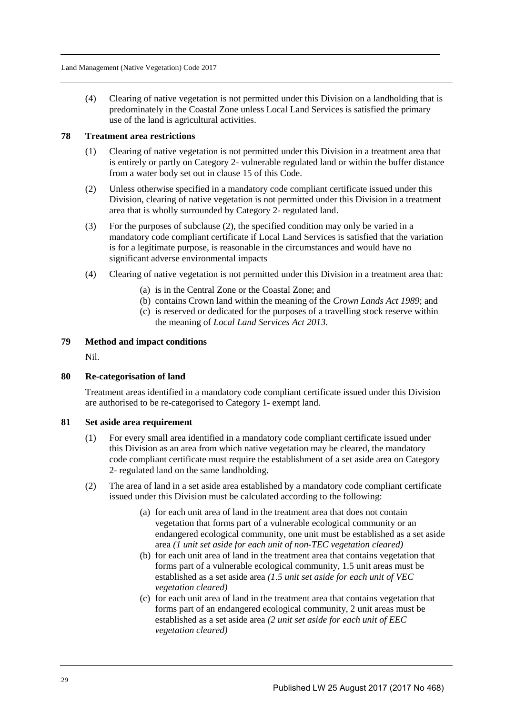(4) Clearing of native vegetation is not permitted under this Division on a landholding that is predominately in the Coastal Zone unless Local Land Services is satisfied the primary use of the land is agricultural activities.

## **78 Treatment area restrictions**

- (1) Clearing of native vegetation is not permitted under this Division in a treatment area that is entirely or partly on Category 2- vulnerable regulated land or within the buffer distance from a water body set out in clause 15 of this Code.
- (2) Unless otherwise specified in a mandatory code compliant certificate issued under this Division, clearing of native vegetation is not permitted under this Division in a treatment area that is wholly surrounded by Category 2- regulated land.
- (3) For the purposes of subclause (2), the specified condition may only be varied in a mandatory code compliant certificate if Local Land Services is satisfied that the variation is for a legitimate purpose, is reasonable in the circumstances and would have no significant adverse environmental impacts
- (4) Clearing of native vegetation is not permitted under this Division in a treatment area that:
	- (a) is in the Central Zone or the Coastal Zone; and
	- (b) contains Crown land within the meaning of the *Crown Lands Act 1989*; and
	- (c) is reserved or dedicated for the purposes of a travelling stock reserve within the meaning of *Local Land Services Act 2013*.

## **79 Method and impact conditions**

Nil.

## **80 Re-categorisation of land**

Treatment areas identified in a mandatory code compliant certificate issued under this Division are authorised to be re-categorised to Category 1- exempt land.

#### **81 Set aside area requirement**

- (1) For every small area identified in a mandatory code compliant certificate issued under this Division as an area from which native vegetation may be cleared, the mandatory code compliant certificate must require the establishment of a set aside area on Category 2- regulated land on the same landholding.
- (2) The area of land in a set aside area established by a mandatory code compliant certificate issued under this Division must be calculated according to the following:
	- (a) for each unit area of land in the treatment area that does not contain vegetation that forms part of a vulnerable ecological community or an endangered ecological community, one unit must be established as a set aside area *(1 unit set aside for each unit of non-TEC vegetation cleared)*
	- (b) for each unit area of land in the treatment area that contains vegetation that forms part of a vulnerable ecological community, 1.5 unit areas must be established as a set aside area *(1.5 unit set aside for each unit of VEC vegetation cleared)*
	- (c) for each unit area of land in the treatment area that contains vegetation that forms part of an endangered ecological community, 2 unit areas must be established as a set aside area *(2 unit set aside for each unit of EEC vegetation cleared)*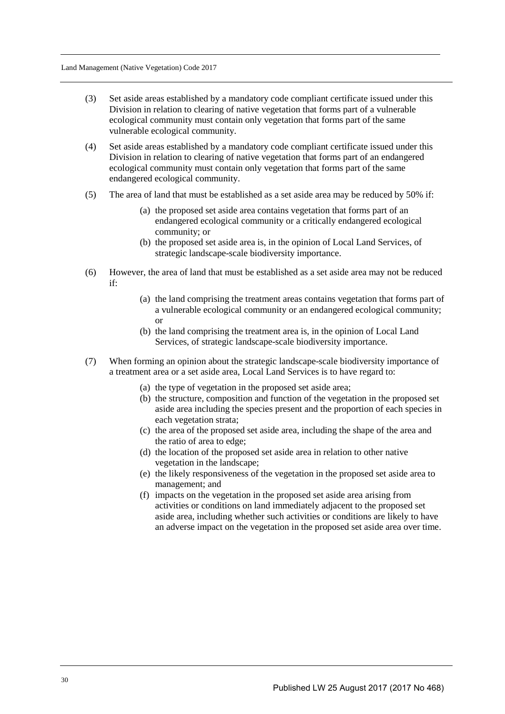- (3) Set aside areas established by a mandatory code compliant certificate issued under this Division in relation to clearing of native vegetation that forms part of a vulnerable ecological community must contain only vegetation that forms part of the same vulnerable ecological community.
- (4) Set aside areas established by a mandatory code compliant certificate issued under this Division in relation to clearing of native vegetation that forms part of an endangered ecological community must contain only vegetation that forms part of the same endangered ecological community.
- (5) The area of land that must be established as a set aside area may be reduced by 50% if:
	- (a) the proposed set aside area contains vegetation that forms part of an endangered ecological community or a critically endangered ecological community; or
	- (b) the proposed set aside area is, in the opinion of Local Land Services, of strategic landscape-scale biodiversity importance.
- (6) However, the area of land that must be established as a set aside area may not be reduced if:
	- (a) the land comprising the treatment areas contains vegetation that forms part of a vulnerable ecological community or an endangered ecological community; or
	- (b) the land comprising the treatment area is, in the opinion of Local Land Services, of strategic landscape-scale biodiversity importance.
- (7) When forming an opinion about the strategic landscape-scale biodiversity importance of a treatment area or a set aside area, Local Land Services is to have regard to:
	- (a) the type of vegetation in the proposed set aside area;
	- (b) the structure, composition and function of the vegetation in the proposed set aside area including the species present and the proportion of each species in each vegetation strata;
	- (c) the area of the proposed set aside area, including the shape of the area and the ratio of area to edge;
	- (d) the location of the proposed set aside area in relation to other native vegetation in the landscape;
	- (e) the likely responsiveness of the vegetation in the proposed set aside area to management; and
	- (f) impacts on the vegetation in the proposed set aside area arising from activities or conditions on land immediately adjacent to the proposed set aside area, including whether such activities or conditions are likely to have an adverse impact on the vegetation in the proposed set aside area over time.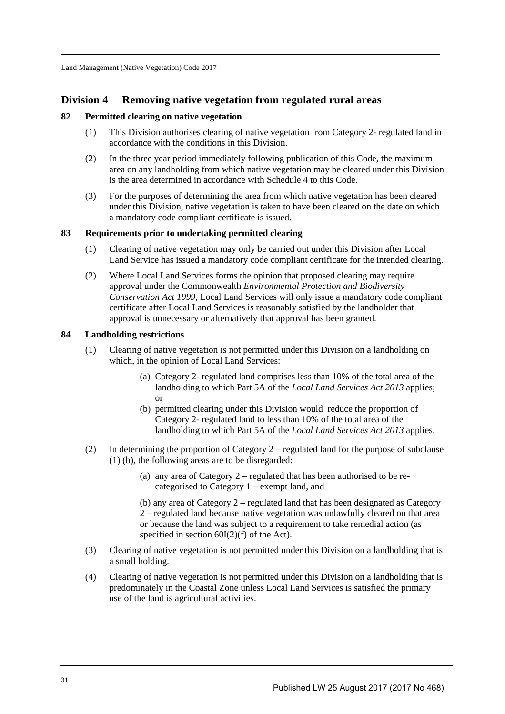## **Division 4 Removing native vegetation from regulated rural areas**

### **82 Permitted clearing on native vegetation**

- (1) This Division authorises clearing of native vegetation from Category 2- regulated land in accordance with the conditions in this Division.
- (2) In the three year period immediately following publication of this Code, the maximum area on any landholding from which native vegetation may be cleared under this Division is the area determined in accordance with Schedule 4 to this Code.
- (3) For the purposes of determining the area from which native vegetation has been cleared under this Division, native vegetation is taken to have been cleared on the date on which a mandatory code compliant certificate is issued.

#### **83 Requirements prior to undertaking permitted clearing**

- (1) Clearing of native vegetation may only be carried out under this Division after Local Land Service has issued a mandatory code compliant certificate for the intended clearing.
- (2) Where Local Land Services forms the opinion that proposed clearing may require approval under the Commonwealth *Environmental Protection and Biodiversity Conservation Act 1999*, Local Land Services will only issue a mandatory code compliant certificate after Local Land Services is reasonably satisfied by the landholder that approval is unnecessary or alternatively that approval has been granted.

#### **84 Landholding restrictions**

- (1) Clearing of native vegetation is not permitted under this Division on a landholding on which, in the opinion of Local Land Services:
	- (a) Category 2- regulated land comprises less than 10% of the total area of the landholding to which Part 5A of the *Local Land Services Act 2013* applies; or
	- (b) permitted clearing under this Division would reduce the proportion of Category 2- regulated land to less than 10% of the total area of the landholding to which Part 5A of the *Local Land Services Act 2013* applies.
- (2) In determining the proportion of Category 2 regulated land for the purpose of subclause (1) (b), the following areas are to be disregarded:
	- (a) any area of Category 2 regulated that has been authorised to be recategorised to Category 1 – exempt land, and

(b) any area of Category 2 – regulated land that has been designated as Category 2 – regulated land because native vegetation was unlawfully cleared on that area or because the land was subject to a requirement to take remedial action (as specified in section  $60I(2)(f)$  of the Act).

- (3) Clearing of native vegetation is not permitted under this Division on a landholding that is a small holding.
- (4) Clearing of native vegetation is not permitted under this Division on a landholding that is predominately in the Coastal Zone unless Local Land Services is satisfied the primary use of the land is agricultural activities.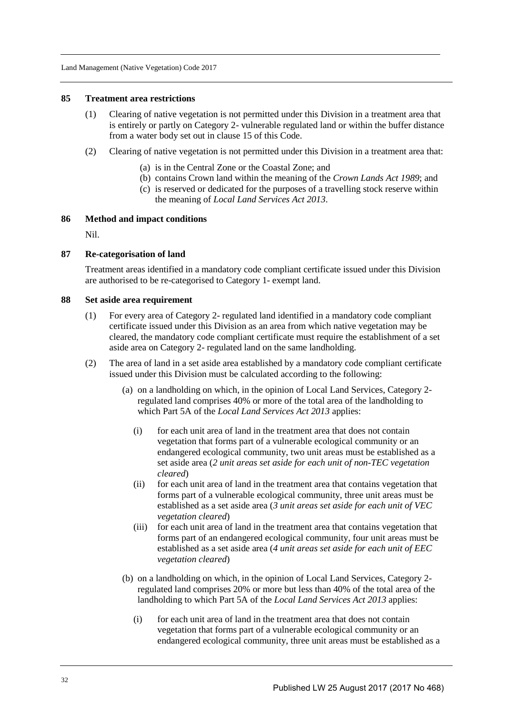#### **85 Treatment area restrictions**

- (1) Clearing of native vegetation is not permitted under this Division in a treatment area that is entirely or partly on Category 2- vulnerable regulated land or within the buffer distance from a water body set out in clause 15 of this Code.
- (2) Clearing of native vegetation is not permitted under this Division in a treatment area that:
	- (a) is in the Central Zone or the Coastal Zone; and
	- (b) contains Crown land within the meaning of the *Crown Lands Act 1989*; and
	- (c) is reserved or dedicated for the purposes of a travelling stock reserve within the meaning of *Local Land Services Act 2013*.

#### **86 Method and impact conditions**

Nil.

#### **87 Re-categorisation of land**

Treatment areas identified in a mandatory code compliant certificate issued under this Division are authorised to be re-categorised to Category 1- exempt land.

#### **88 Set aside area requirement**

- (1) For every area of Category 2- regulated land identified in a mandatory code compliant certificate issued under this Division as an area from which native vegetation may be cleared, the mandatory code compliant certificate must require the establishment of a set aside area on Category 2- regulated land on the same landholding.
- (2) The area of land in a set aside area established by a mandatory code compliant certificate issued under this Division must be calculated according to the following:
	- (a) on a landholding on which, in the opinion of Local Land Services, Category 2 regulated land comprises 40% or more of the total area of the landholding to which Part 5A of the *Local Land Services Act 2013* applies:
		- (i) for each unit area of land in the treatment area that does not contain vegetation that forms part of a vulnerable ecological community or an endangered ecological community, two unit areas must be established as a set aside area (*2 unit areas set aside for each unit of non-TEC vegetation cleared*)
		- (ii) for each unit area of land in the treatment area that contains vegetation that forms part of a vulnerable ecological community, three unit areas must be established as a set aside area (*3 unit areas set aside for each unit of VEC vegetation cleared*)
		- (iii) for each unit area of land in the treatment area that contains vegetation that forms part of an endangered ecological community, four unit areas must be established as a set aside area (*4 unit areas set aside for each unit of EEC vegetation cleared*)
	- (b) on a landholding on which, in the opinion of Local Land Services, Category 2 regulated land comprises 20% or more but less than 40% of the total area of the landholding to which Part 5A of the *Local Land Services Act 2013* applies:
		- (i) for each unit area of land in the treatment area that does not contain vegetation that forms part of a vulnerable ecological community or an endangered ecological community, three unit areas must be established as a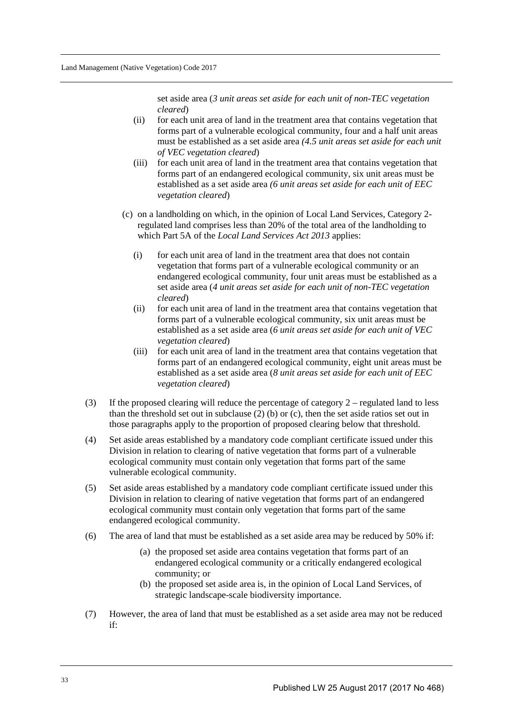set aside area (*3 unit areas set aside for each unit of non-TEC vegetation cleared*)

- (ii) for each unit area of land in the treatment area that contains vegetation that forms part of a vulnerable ecological community, four and a half unit areas must be established as a set aside area *(4.5 unit areas set aside for each unit of VEC vegetation cleared*)
- (iii) for each unit area of land in the treatment area that contains vegetation that forms part of an endangered ecological community, six unit areas must be established as a set aside area *(6 unit areas set aside for each unit of EEC vegetation cleared*)
- (c) on a landholding on which, in the opinion of Local Land Services, Category 2 regulated land comprises less than 20% of the total area of the landholding to which Part 5A of the *Local Land Services Act 2013* applies:
	- (i) for each unit area of land in the treatment area that does not contain vegetation that forms part of a vulnerable ecological community or an endangered ecological community, four unit areas must be established as a set aside area (*4 unit areas set aside for each unit of non-TEC vegetation cleared*)
	- (ii) for each unit area of land in the treatment area that contains vegetation that forms part of a vulnerable ecological community, six unit areas must be established as a set aside area (*6 unit areas set aside for each unit of VEC vegetation cleared*)
	- (iii) for each unit area of land in the treatment area that contains vegetation that forms part of an endangered ecological community, eight unit areas must be established as a set aside area (*8 unit areas set aside for each unit of EEC vegetation cleared*)
- (3) If the proposed clearing will reduce the percentage of category 2 regulated land to less than the threshold set out in subclause (2) (b) or (c), then the set aside ratios set out in those paragraphs apply to the proportion of proposed clearing below that threshold.
- (4) Set aside areas established by a mandatory code compliant certificate issued under this Division in relation to clearing of native vegetation that forms part of a vulnerable ecological community must contain only vegetation that forms part of the same vulnerable ecological community.
- (5) Set aside areas established by a mandatory code compliant certificate issued under this Division in relation to clearing of native vegetation that forms part of an endangered ecological community must contain only vegetation that forms part of the same endangered ecological community.
- (6) The area of land that must be established as a set aside area may be reduced by 50% if:
	- (a) the proposed set aside area contains vegetation that forms part of an endangered ecological community or a critically endangered ecological community; or
	- (b) the proposed set aside area is, in the opinion of Local Land Services, of strategic landscape-scale biodiversity importance.
- (7) However, the area of land that must be established as a set aside area may not be reduced if: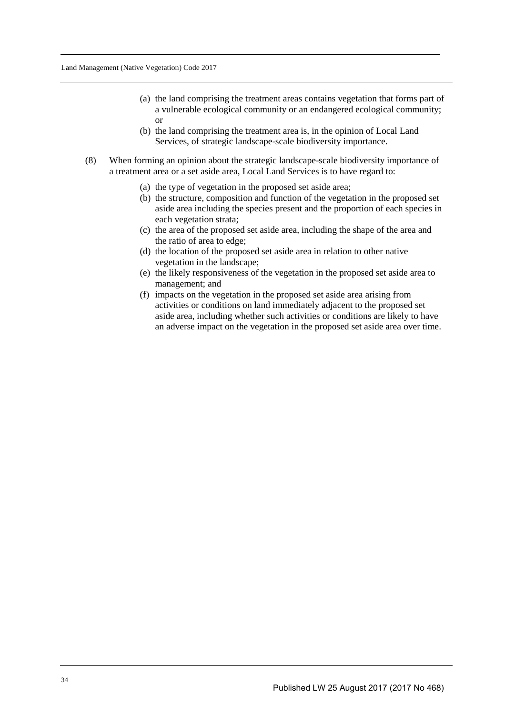- (a) the land comprising the treatment areas contains vegetation that forms part of a vulnerable ecological community or an endangered ecological community; or
- (b) the land comprising the treatment area is, in the opinion of Local Land Services, of strategic landscape-scale biodiversity importance.
- (8) When forming an opinion about the strategic landscape-scale biodiversity importance of a treatment area or a set aside area, Local Land Services is to have regard to:
	- (a) the type of vegetation in the proposed set aside area;
	- (b) the structure, composition and function of the vegetation in the proposed set aside area including the species present and the proportion of each species in each vegetation strata;
	- (c) the area of the proposed set aside area, including the shape of the area and the ratio of area to edge;
	- (d) the location of the proposed set aside area in relation to other native vegetation in the landscape;
	- (e) the likely responsiveness of the vegetation in the proposed set aside area to management; and
	- (f) impacts on the vegetation in the proposed set aside area arising from activities or conditions on land immediately adjacent to the proposed set aside area, including whether such activities or conditions are likely to have an adverse impact on the vegetation in the proposed set aside area over time.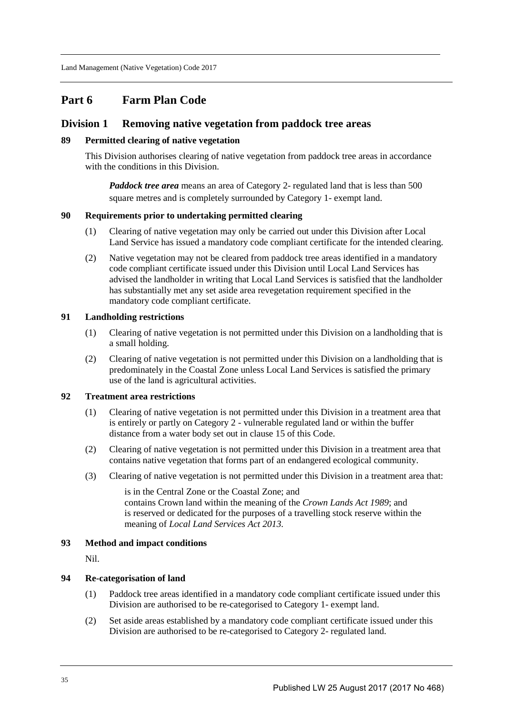## **Part 6 Farm Plan Code**

## **Division 1 Removing native vegetation from paddock tree areas**

### **89 Permitted clearing of native vegetation**

This Division authorises clearing of native vegetation from paddock tree areas in accordance with the conditions in this Division.

*Paddock tree area* means an area of Category 2- regulated land that is less than 500 square metres and is completely surrounded by Category 1- exempt land.

#### **90 Requirements prior to undertaking permitted clearing**

- (1) Clearing of native vegetation may only be carried out under this Division after Local Land Service has issued a mandatory code compliant certificate for the intended clearing.
- (2) Native vegetation may not be cleared from paddock tree areas identified in a mandatory code compliant certificate issued under this Division until Local Land Services has advised the landholder in writing that Local Land Services is satisfied that the landholder has substantially met any set aside area revegetation requirement specified in the mandatory code compliant certificate.

#### **91 Landholding restrictions**

- (1) Clearing of native vegetation is not permitted under this Division on a landholding that is a small holding.
- (2) Clearing of native vegetation is not permitted under this Division on a landholding that is predominately in the Coastal Zone unless Local Land Services is satisfied the primary use of the land is agricultural activities.

## **92 Treatment area restrictions**

- (1) Clearing of native vegetation is not permitted under this Division in a treatment area that is entirely or partly on Category 2 - vulnerable regulated land or within the buffer distance from a water body set out in clause 15 of this Code.
- (2) Clearing of native vegetation is not permitted under this Division in a treatment area that contains native vegetation that forms part of an endangered ecological community.
- (3) Clearing of native vegetation is not permitted under this Division in a treatment area that:

is in the Central Zone or the Coastal Zone; and contains Crown land within the meaning of the *Crown Lands Act 1989*; and is reserved or dedicated for the purposes of a travelling stock reserve within the meaning of *Local Land Services Act 2013*.

#### **93 Method and impact conditions**

Nil.

#### **94 Re-categorisation of land**

- (1) Paddock tree areas identified in a mandatory code compliant certificate issued under this Division are authorised to be re-categorised to Category 1- exempt land.
- (2) Set aside areas established by a mandatory code compliant certificate issued under this Division are authorised to be re-categorised to Category 2- regulated land.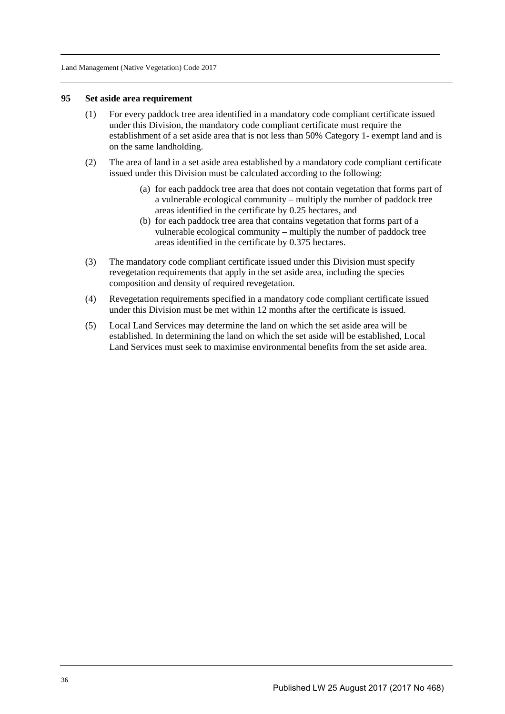#### **95 Set aside area requirement**

- (1) For every paddock tree area identified in a mandatory code compliant certificate issued under this Division, the mandatory code compliant certificate must require the establishment of a set aside area that is not less than 50% Category 1- exempt land and is on the same landholding.
- (2) The area of land in a set aside area established by a mandatory code compliant certificate issued under this Division must be calculated according to the following:
	- (a) for each paddock tree area that does not contain vegetation that forms part of a vulnerable ecological community – multiply the number of paddock tree areas identified in the certificate by 0.25 hectares, and
	- (b) for each paddock tree area that contains vegetation that forms part of a vulnerable ecological community – multiply the number of paddock tree areas identified in the certificate by 0.375 hectares.
- (3) The mandatory code compliant certificate issued under this Division must specify revegetation requirements that apply in the set aside area, including the species composition and density of required revegetation.
- (4) Revegetation requirements specified in a mandatory code compliant certificate issued under this Division must be met within 12 months after the certificate is issued.
- (5) Local Land Services may determine the land on which the set aside area will be established. In determining the land on which the set aside will be established, Local Land Services must seek to maximise environmental benefits from the set aside area.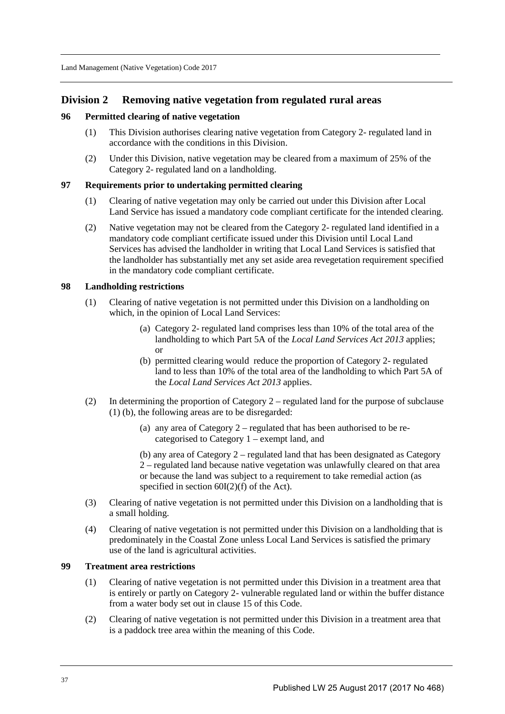## **Division 2 Removing native vegetation from regulated rural areas**

### **96 Permitted clearing of native vegetation**

- (1) This Division authorises clearing native vegetation from Category 2- regulated land in accordance with the conditions in this Division.
- (2) Under this Division, native vegetation may be cleared from a maximum of 25% of the Category 2- regulated land on a landholding.

## **97 Requirements prior to undertaking permitted clearing**

- (1) Clearing of native vegetation may only be carried out under this Division after Local Land Service has issued a mandatory code compliant certificate for the intended clearing.
- (2) Native vegetation may not be cleared from the Category 2- regulated land identified in a mandatory code compliant certificate issued under this Division until Local Land Services has advised the landholder in writing that Local Land Services is satisfied that the landholder has substantially met any set aside area revegetation requirement specified in the mandatory code compliant certificate.

#### **98 Landholding restrictions**

- (1) Clearing of native vegetation is not permitted under this Division on a landholding on which, in the opinion of Local Land Services:
	- (a) Category 2- regulated land comprises less than 10% of the total area of the landholding to which Part 5A of the *Local Land Services Act 2013* applies; or
	- (b) permitted clearing would reduce the proportion of Category 2- regulated land to less than 10% of the total area of the landholding to which Part 5A of the *Local Land Services Act 2013* applies.
- (2) In determining the proportion of Category 2 regulated land for the purpose of subclause (1) (b), the following areas are to be disregarded:
	- (a) any area of Category 2 regulated that has been authorised to be recategorised to Category 1 – exempt land, and
	- (b) any area of Category 2 regulated land that has been designated as Category 2 – regulated land because native vegetation was unlawfully cleared on that area or because the land was subject to a requirement to take remedial action (as specified in section 60I(2)(f) of the Act).
- (3) Clearing of native vegetation is not permitted under this Division on a landholding that is a small holding.
- (4) Clearing of native vegetation is not permitted under this Division on a landholding that is predominately in the Coastal Zone unless Local Land Services is satisfied the primary use of the land is agricultural activities.

### **99 Treatment area restrictions**

- (1) Clearing of native vegetation is not permitted under this Division in a treatment area that is entirely or partly on Category 2- vulnerable regulated land or within the buffer distance from a water body set out in clause 15 of this Code.
- (2) Clearing of native vegetation is not permitted under this Division in a treatment area that is a paddock tree area within the meaning of this Code.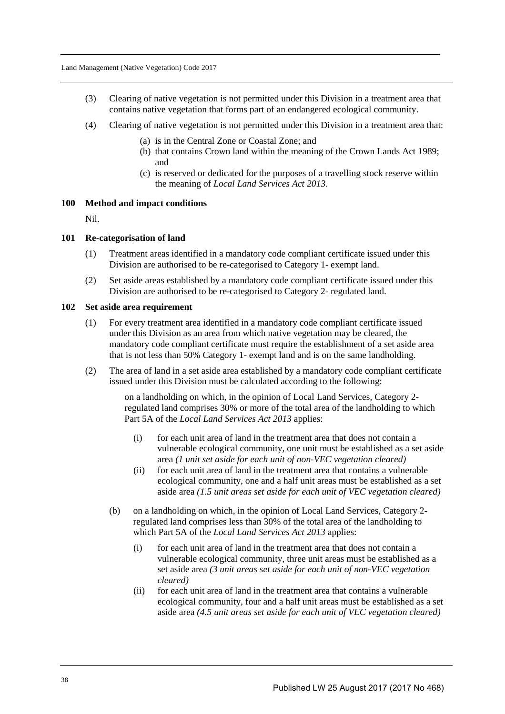- (3) Clearing of native vegetation is not permitted under this Division in a treatment area that contains native vegetation that forms part of an endangered ecological community.
- (4) Clearing of native vegetation is not permitted under this Division in a treatment area that:
	- (a) is in the Central Zone or Coastal Zone; and
	- (b) that contains Crown land within the meaning of the Crown Lands Act 1989; and
	- (c) is reserved or dedicated for the purposes of a travelling stock reserve within the meaning of *Local Land Services Act 2013*.

#### **100 Method and impact conditions**

Nil.

#### **101 Re-categorisation of land**

- (1) Treatment areas identified in a mandatory code compliant certificate issued under this Division are authorised to be re-categorised to Category 1- exempt land.
- (2) Set aside areas established by a mandatory code compliant certificate issued under this Division are authorised to be re-categorised to Category 2- regulated land.

#### **102 Set aside area requirement**

- (1) For every treatment area identified in a mandatory code compliant certificate issued under this Division as an area from which native vegetation may be cleared, the mandatory code compliant certificate must require the establishment of a set aside area that is not less than 50% Category 1- exempt land and is on the same landholding.
- (2) The area of land in a set aside area established by a mandatory code compliant certificate issued under this Division must be calculated according to the following:

on a landholding on which, in the opinion of Local Land Services, Category 2 regulated land comprises 30% or more of the total area of the landholding to which Part 5A of the *Local Land Services Act 2013* applies:

- (i) for each unit area of land in the treatment area that does not contain a vulnerable ecological community, one unit must be established as a set aside area *(1 unit set aside for each unit of non-VEC vegetation cleared)*
- (ii) for each unit area of land in the treatment area that contains a vulnerable ecological community, one and a half unit areas must be established as a set aside area *(1.5 unit areas set aside for each unit of VEC vegetation cleared)*
- (b) on a landholding on which, in the opinion of Local Land Services, Category 2 regulated land comprises less than 30% of the total area of the landholding to which Part 5A of the *Local Land Services Act 2013* applies:
	- (i) for each unit area of land in the treatment area that does not contain a vulnerable ecological community, three unit areas must be established as a set aside area *(3 unit areas set aside for each unit of non-VEC vegetation cleared)*
	- (ii) for each unit area of land in the treatment area that contains a vulnerable ecological community, four and a half unit areas must be established as a set aside area *(4.5 unit areas set aside for each unit of VEC vegetation cleared)*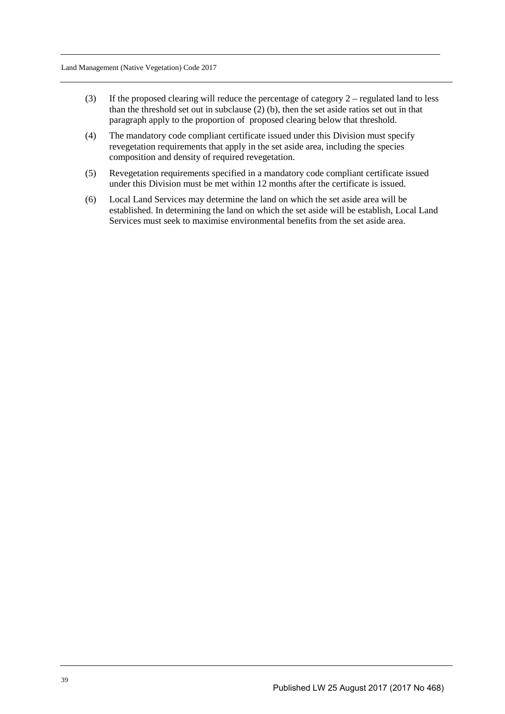- (3) If the proposed clearing will reduce the percentage of category  $2$  regulated land to less than the threshold set out in subclause  $(2)$  (b), then the set aside ratios set out in that paragraph apply to the proportion of proposed clearing below that threshold.
- (4) The mandatory code compliant certificate issued under this Division must specify revegetation requirements that apply in the set aside area, including the species composition and density of required revegetation.
- (5) Revegetation requirements specified in a mandatory code compliant certificate issued under this Division must be met within 12 months after the certificate is issued.
- (6) Local Land Services may determine the land on which the set aside area will be established. In determining the land on which the set aside will be establish, Local Land Services must seek to maximise environmental benefits from the set aside area.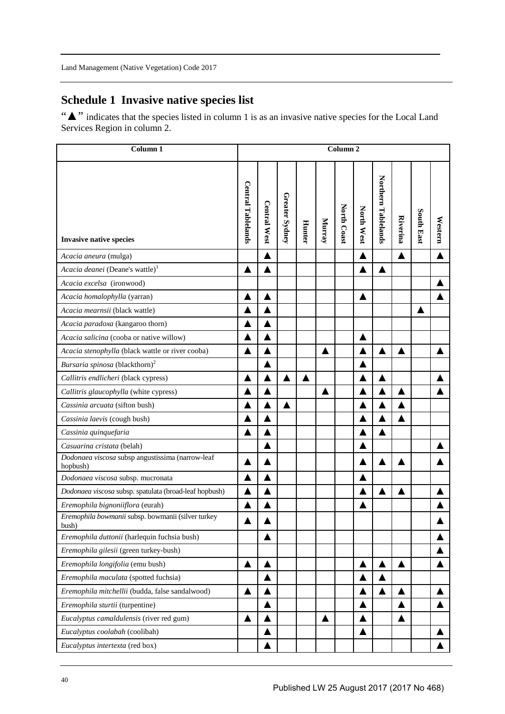# **Schedule 1 Invasive native species list**

"▲" indicates that the species listed in column 1 is as an invasive native species for the Local Land Services Region in column 2.

| Column <sub>1</sub>                                          | $\overline{\mathrm{Column}}$ 2 |                     |                |               |        |             |            |                     |                 |                   |                  |  |  |  |
|--------------------------------------------------------------|--------------------------------|---------------------|----------------|---------------|--------|-------------|------------|---------------------|-----------------|-------------------|------------------|--|--|--|
| <b>Invasive native species</b>                               | <b>Central Tablelands</b>      | <b>Central West</b> | Greater Sydney | <b>Hunter</b> | Murray | North Coast | North West | Northern Tablelands | <b>Riverina</b> | <b>South East</b> | Western          |  |  |  |
| Acacia aneura (mulga)                                        |                                | ▲                   |                |               |        |             | ▲          |                     | ▲               |                   |                  |  |  |  |
| Acacia deanei (Deane's wattle) <sup>1</sup>                  | ▲                              | ▲                   |                |               |        |             | ▲          | ▲                   |                 |                   |                  |  |  |  |
| Acacia excelsa (ironwood)                                    |                                |                     |                |               |        |             |            |                     |                 |                   |                  |  |  |  |
| Acacia homalophylla (yarran)                                 | ▲                              | ▲                   |                |               |        |             | ▲          |                     |                 |                   |                  |  |  |  |
| Acacia mearnsii (black wattle)                               |                                |                     |                |               |        |             |            |                     |                 |                   |                  |  |  |  |
| Acacia paradoxa (kangaroo thorn)                             |                                |                     |                |               |        |             |            |                     |                 |                   |                  |  |  |  |
| Acacia salicina (cooba or native willow)                     |                                |                     |                |               |        |             | ▲          |                     |                 |                   |                  |  |  |  |
| Acacia stenophylla (black wattle or river cooba)             | ▲                              |                     |                |               | ▲      |             |            | ▲                   | ▲               |                   |                  |  |  |  |
| Bursaria spinosa (blackthorn) <sup>2</sup>                   |                                |                     |                |               |        |             |            |                     |                 |                   |                  |  |  |  |
| Callitris endlicheri (black cypress)                         | ▲                              |                     | ▲              | ▲             |        |             |            | ▲                   |                 |                   |                  |  |  |  |
| Callitris glaucophylla (white cypress)                       |                                |                     |                |               |        |             |            |                     |                 |                   |                  |  |  |  |
| Cassinia arcuata (sifton bush)                               |                                |                     | ▲              |               |        |             |            |                     |                 |                   |                  |  |  |  |
| Cassinia laevis (cough bush)                                 |                                | ▲                   |                |               |        |             |            |                     |                 |                   |                  |  |  |  |
| Cassinia quinquefaria                                        | ▲                              |                     |                |               |        |             |            | ▲                   |                 |                   |                  |  |  |  |
| Casuarina cristata (belah)                                   |                                |                     |                |               |        |             |            |                     |                 |                   |                  |  |  |  |
| Dodonaea viscosa subsp angustissima (narrow-leaf<br>hopbush) |                                |                     |                |               |        |             |            | ▲                   |                 |                   |                  |  |  |  |
| Dodonaea viscosa subsp. mucronata                            | ▲                              |                     |                |               |        |             | ▲          |                     |                 |                   |                  |  |  |  |
| Dodonaea viscosa subsp. spatulata (broad-leaf hopbush)       |                                |                     |                |               |        |             |            |                     |                 |                   |                  |  |  |  |
| Eremophila bignoniiflora (eurah)                             | ▲                              |                     |                |               |        |             |            |                     |                 |                   |                  |  |  |  |
| Eremophila bowmanii subsp. bowmanii (silver turkey<br>bush)  |                                |                     |                |               |        |             |            |                     |                 |                   | ▲                |  |  |  |
| Eremophila duttonii (harlequin fuchsia bush)                 |                                |                     |                |               |        |             |            |                     |                 |                   |                  |  |  |  |
| Eremophila gilesii (green turkey-bush)                       |                                |                     |                |               |        |             |            |                     |                 |                   |                  |  |  |  |
| Eremophila longifolia (emu bush)                             | $\blacktriangle$               |                     |                |               |        |             | ▲          |                     | ▲               |                   | $\blacktriangle$ |  |  |  |
| Eremophila maculata (spotted fuchsia)                        |                                |                     |                |               |        |             |            |                     |                 |                   |                  |  |  |  |
| Eremophila mitchellii (budda, false sandalwood)              | ▲                              |                     |                |               |        |             |            |                     | ▲               |                   | ▲                |  |  |  |
| Eremophila sturtii (turpentine)                              |                                |                     |                |               |        |             | ▲          |                     |                 |                   | $\blacktriangle$ |  |  |  |
| Eucalyptus camaldulensis (river red gum)                     | ▲                              |                     |                |               | ▲      |             |            |                     |                 |                   |                  |  |  |  |
| Eucalyptus coolabah (coolibah)                               |                                | ▲                   |                |               |        |             | ▲          |                     |                 |                   | ▲                |  |  |  |
| Eucalyptus intertexta (red box)                              |                                | ▲                   |                |               |        |             |            |                     |                 |                   |                  |  |  |  |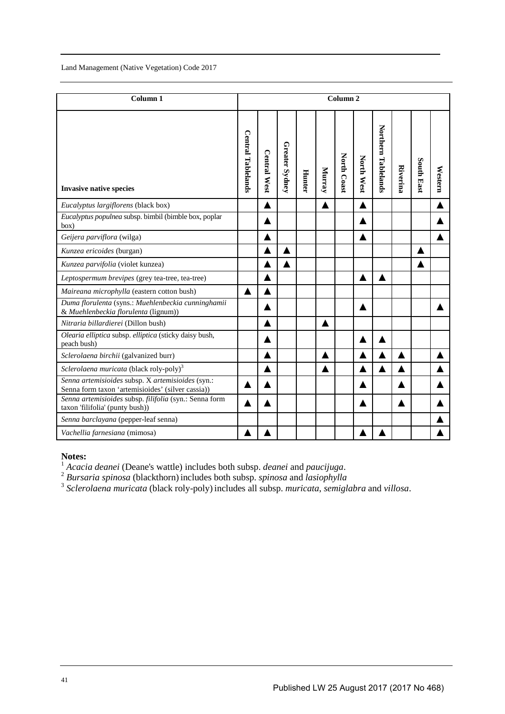| Column <sub>1</sub>                                                                                    | Column <sub>2</sub>       |                     |                |               |        |             |            |                     |                 |                   |         |  |  |  |
|--------------------------------------------------------------------------------------------------------|---------------------------|---------------------|----------------|---------------|--------|-------------|------------|---------------------|-----------------|-------------------|---------|--|--|--|
| <b>Invasive native species</b>                                                                         | <b>Central Tablelands</b> | <b>Central West</b> | Greater Sydney | <b>Hunter</b> | Murray | North Coast | North West | Northern Tablelands | <b>Riverina</b> | <b>South East</b> | Western |  |  |  |
| Eucalyptus largiflorens (black box)                                                                    |                           |                     |                |               |        |             |            |                     |                 |                   |         |  |  |  |
| Eucalyptus populnea subsp. bimbil (bimble box, poplar<br>box)                                          |                           |                     |                |               |        |             |            |                     |                 |                   |         |  |  |  |
| Geijera parviflora (wilga)                                                                             |                           |                     |                |               |        |             | ▲          |                     |                 |                   |         |  |  |  |
| Kunzea ericoides (burgan)                                                                              |                           |                     |                |               |        |             |            |                     |                 |                   |         |  |  |  |
| Kunzea parvifolia (violet kunzea)                                                                      |                           |                     |                |               |        |             |            |                     |                 |                   |         |  |  |  |
| Leptospermum brevipes (grey tea-tree, tea-tree)                                                        |                           |                     |                |               |        |             |            |                     |                 |                   |         |  |  |  |
| Maireana microphylla (eastern cotton bush)                                                             | ▲                         |                     |                |               |        |             |            |                     |                 |                   |         |  |  |  |
| Duma florulenta (syns.: Muehlenbeckia cunninghamii<br>& Muehlenbeckia florulenta (lignum))             |                           |                     |                |               |        |             |            |                     |                 |                   |         |  |  |  |
| Nitraria billardierei (Dillon bush)                                                                    |                           |                     |                |               | Ζ      |             |            |                     |                 |                   |         |  |  |  |
| Olearia elliptica subsp. elliptica (sticky daisy bush,<br>peach bush)                                  |                           |                     |                |               |        |             |            |                     |                 |                   |         |  |  |  |
| Sclerolaena birchii (galvanized burr)                                                                  |                           |                     |                |               |        |             |            |                     |                 |                   |         |  |  |  |
| Sclerolaena muricata (black roly-poly) <sup>3</sup>                                                    |                           | ▲                   |                |               |        |             |            |                     |                 |                   |         |  |  |  |
| Senna artemisioides subsp. X artemisioides (syn.:<br>Senna form taxon 'artemisioides' (silver cassia)) |                           |                     |                |               |        |             |            |                     |                 |                   |         |  |  |  |
| Senna artemisioides subsp. filifolia (syn.: Senna form<br>taxon 'filifolia' (punty bush))              |                           |                     |                |               |        |             |            |                     |                 |                   |         |  |  |  |
| Senna barclayana (pepper-leaf senna)                                                                   |                           |                     |                |               |        |             |            |                     |                 |                   |         |  |  |  |
| Vachellia farnesiana (mimosa)                                                                          |                           |                     |                |               |        |             |            |                     |                 |                   |         |  |  |  |

#### **Notes:**

<sup>1</sup> Acacia deanei (Deane's wattle) includes both subsp. *deanei* and paucijuga.<br><sup>2</sup> Bursaria spinosa (blackthorn) includes both subsp. *spinosa* and *lasiophylla*<br><sup>3</sup> Sclerolaena muricata (black roly-poly) includes all su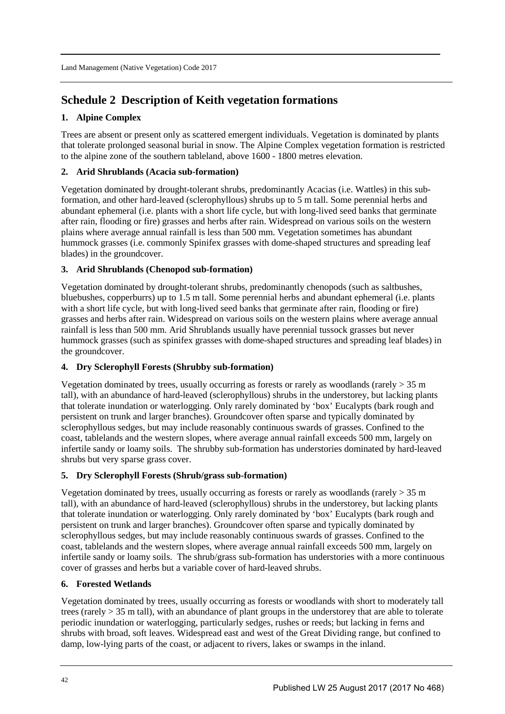# **Schedule 2 Description of Keith vegetation formations**

## **1. Alpine Complex**

Trees are absent or present only as scattered emergent individuals. Vegetation is dominated by plants that tolerate prolonged seasonal burial in snow. The Alpine Complex vegetation formation is restricted to the alpine zone of the southern tableland, above 1600 - 1800 metres elevation.

## **2. Arid Shrublands (Acacia sub-formation)**

Vegetation dominated by drought-tolerant shrubs, predominantly Acacias (i.e. Wattles) in this subformation, and other hard-leaved (sclerophyllous) shrubs up to 5 m tall. Some perennial herbs and abundant ephemeral (i.e. plants with a short life cycle, but with long-lived seed banks that germinate after rain, flooding or fire) grasses and herbs after rain. Widespread on various soils on the western plains where average annual rainfall is less than 500 mm. Vegetation sometimes has abundant hummock grasses (i.e. commonly Spinifex grasses with dome-shaped structures and spreading leaf blades) in the groundcover.

## **3. Arid Shrublands (Chenopod sub-formation)**

Vegetation dominated by drought-tolerant shrubs, predominantly chenopods (such as saltbushes, bluebushes, copperburrs) up to 1.5 m tall. Some perennial herbs and abundant ephemeral (i.e. plants with a short life cycle, but with long-lived seed banks that germinate after rain, flooding or fire) grasses and herbs after rain. Widespread on various soils on the western plains where average annual rainfall is less than 500 mm. Arid Shrublands usually have perennial tussock grasses but never hummock grasses (such as spinifex grasses with dome-shaped structures and spreading leaf blades) in the groundcover.

## **4. Dry Sclerophyll Forests (Shrubby sub-formation)**

Vegetation dominated by trees, usually occurring as forests or rarely as woodlands (rarely  $>$  35 m tall), with an abundance of hard-leaved (sclerophyllous) shrubs in the understorey, but lacking plants that tolerate inundation or waterlogging. Only rarely dominated by 'box' Eucalypts (bark rough and persistent on trunk and larger branches). Groundcover often sparse and typically dominated by sclerophyllous sedges, but may include reasonably continuous swards of grasses. Confined to the coast, tablelands and the western slopes, where average annual rainfall exceeds 500 mm, largely on infertile sandy or loamy soils. The shrubby sub-formation has understories dominated by hard-leaved shrubs but very sparse grass cover.

## **5. Dry Sclerophyll Forests (Shrub/grass sub-formation)**

Vegetation dominated by trees, usually occurring as forests or rarely as woodlands (rarely  $> 35$  m tall), with an abundance of hard-leaved (sclerophyllous) shrubs in the understorey, but lacking plants that tolerate inundation or waterlogging. Only rarely dominated by 'box' Eucalypts (bark rough and persistent on trunk and larger branches). Groundcover often sparse and typically dominated by sclerophyllous sedges, but may include reasonably continuous swards of grasses. Confined to the coast, tablelands and the western slopes, where average annual rainfall exceeds 500 mm, largely on infertile sandy or loamy soils. The shrub/grass sub-formation has understories with a more continuous cover of grasses and herbs but a variable cover of hard-leaved shrubs.

## **6. Forested Wetlands**

Vegetation dominated by trees, usually occurring as forests or woodlands with short to moderately tall trees (rarely > 35 m tall), with an abundance of plant groups in the understorey that are able to tolerate periodic inundation or waterlogging, particularly sedges, rushes or reeds; but lacking in ferns and shrubs with broad, soft leaves. Widespread east and west of the Great Dividing range, but confined to damp, low-lying parts of the coast, or adjacent to rivers, lakes or swamps in the inland.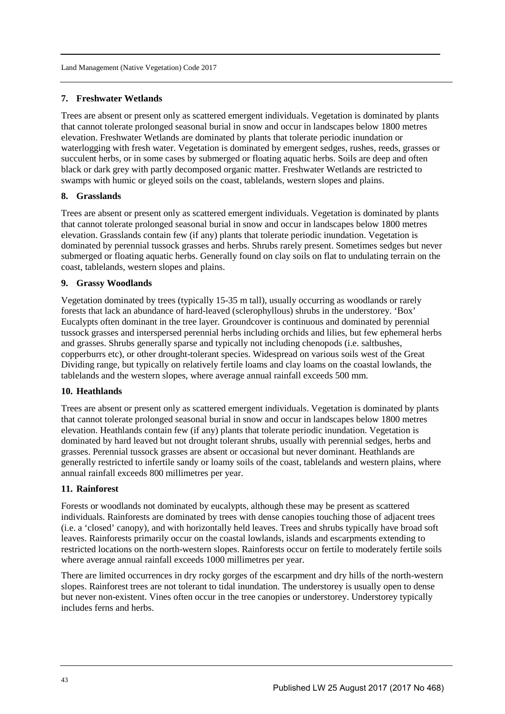## **7. Freshwater Wetlands**

Trees are absent or present only as scattered emergent individuals. Vegetation is dominated by plants that cannot tolerate prolonged seasonal burial in snow and occur in landscapes below 1800 metres elevation. Freshwater Wetlands are dominated by plants that tolerate periodic inundation or waterlogging with fresh water. Vegetation is dominated by emergent sedges, rushes, reeds, grasses or succulent herbs, or in some cases by submerged or floating aquatic herbs. Soils are deep and often black or dark grey with partly decomposed organic matter. Freshwater Wetlands are restricted to swamps with humic or gleyed soils on the coast, tablelands, western slopes and plains.

## **8. Grasslands**

Trees are absent or present only as scattered emergent individuals. Vegetation is dominated by plants that cannot tolerate prolonged seasonal burial in snow and occur in landscapes below 1800 metres elevation. Grasslands contain few (if any) plants that tolerate periodic inundation. Vegetation is dominated by perennial tussock grasses and herbs. Shrubs rarely present. Sometimes sedges but never submerged or floating aquatic herbs. Generally found on clay soils on flat to undulating terrain on the coast, tablelands, western slopes and plains.

## **9. Grassy Woodlands**

Vegetation dominated by trees (typically 15-35 m tall), usually occurring as woodlands or rarely forests that lack an abundance of hard-leaved (sclerophyllous) shrubs in the understorey. 'Box' Eucalypts often dominant in the tree layer. Groundcover is continuous and dominated by perennial tussock grasses and interspersed perennial herbs including orchids and lilies, but few ephemeral herbs and grasses. Shrubs generally sparse and typically not including chenopods (i.e. saltbushes, copperburrs etc), or other drought-tolerant species. Widespread on various soils west of the Great Dividing range, but typically on relatively fertile loams and clay loams on the coastal lowlands, the tablelands and the western slopes, where average annual rainfall exceeds 500 mm.

#### **10. Heathlands**

Trees are absent or present only as scattered emergent individuals. Vegetation is dominated by plants that cannot tolerate prolonged seasonal burial in snow and occur in landscapes below 1800 metres elevation. Heathlands contain few (if any) plants that tolerate periodic inundation. Vegetation is dominated by hard leaved but not drought tolerant shrubs, usually with perennial sedges, herbs and grasses. Perennial tussock grasses are absent or occasional but never dominant. Heathlands are generally restricted to infertile sandy or loamy soils of the coast, tablelands and western plains, where annual rainfall exceeds 800 millimetres per year.

#### **11. Rainforest**

Forests or woodlands not dominated by eucalypts, although these may be present as scattered individuals. Rainforests are dominated by trees with dense canopies touching those of adjacent trees (i.e. a 'closed' canopy), and with horizontally held leaves. Trees and shrubs typically have broad soft leaves. Rainforests primarily occur on the coastal lowlands, islands and escarpments extending to restricted locations on the north-western slopes. Rainforests occur on fertile to moderately fertile soils where average annual rainfall exceeds 1000 millimetres per year.

There are limited occurrences in dry rocky gorges of the escarpment and dry hills of the north-western slopes. Rainforest trees are not tolerant to tidal inundation. The understorey is usually open to dense but never non-existent. Vines often occur in the tree canopies or understorey. Understorey typically includes ferns and herbs.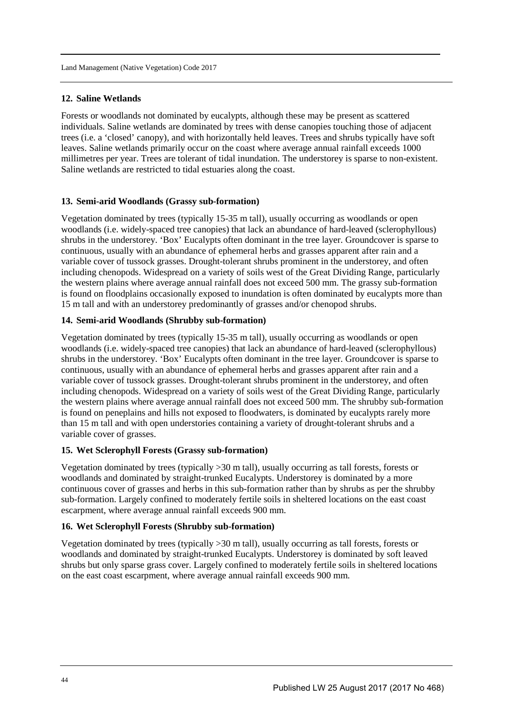## **12. Saline Wetlands**

Forests or woodlands not dominated by eucalypts, although these may be present as scattered individuals. Saline wetlands are dominated by trees with dense canopies touching those of adjacent trees (i.e. a 'closed' canopy), and with horizontally held leaves. Trees and shrubs typically have soft leaves. Saline wetlands primarily occur on the coast where average annual rainfall exceeds 1000 millimetres per year. Trees are tolerant of tidal inundation. The understorey is sparse to non-existent. Saline wetlands are restricted to tidal estuaries along the coast.

#### **13. Semi-arid Woodlands (Grassy sub-formation)**

Vegetation dominated by trees (typically 15-35 m tall), usually occurring as woodlands or open woodlands (i.e. widely-spaced tree canopies) that lack an abundance of hard-leaved (sclerophyllous) shrubs in the understorey. 'Box' Eucalypts often dominant in the tree layer. Groundcover is sparse to continuous, usually with an abundance of ephemeral herbs and grasses apparent after rain and a variable cover of tussock grasses. Drought-tolerant shrubs prominent in the understorey, and often including chenopods. Widespread on a variety of soils west of the Great Dividing Range, particularly the western plains where average annual rainfall does not exceed 500 mm. The grassy sub-formation is found on floodplains occasionally exposed to inundation is often dominated by eucalypts more than 15 m tall and with an understorey predominantly of grasses and/or chenopod shrubs.

## **14. Semi-arid Woodlands (Shrubby sub-formation)**

Vegetation dominated by trees (typically 15-35 m tall), usually occurring as woodlands or open woodlands (i.e. widely-spaced tree canopies) that lack an abundance of hard-leaved (sclerophyllous) shrubs in the understorey. 'Box' Eucalypts often dominant in the tree layer. Groundcover is sparse to continuous, usually with an abundance of ephemeral herbs and grasses apparent after rain and a variable cover of tussock grasses. Drought-tolerant shrubs prominent in the understorey, and often including chenopods. Widespread on a variety of soils west of the Great Dividing Range, particularly the western plains where average annual rainfall does not exceed 500 mm. The shrubby sub-formation is found on peneplains and hills not exposed to floodwaters, is dominated by eucalypts rarely more than 15 m tall and with open understories containing a variety of drought-tolerant shrubs and a variable cover of grasses.

### **15. Wet Sclerophyll Forests (Grassy sub-formation)**

Vegetation dominated by trees (typically >30 m tall), usually occurring as tall forests, forests or woodlands and dominated by straight-trunked Eucalypts. Understorey is dominated by a more continuous cover of grasses and herbs in this sub-formation rather than by shrubs as per the shrubby sub-formation. Largely confined to moderately fertile soils in sheltered locations on the east coast escarpment, where average annual rainfall exceeds 900 mm.

#### **16. Wet Sclerophyll Forests (Shrubby sub-formation)**

Vegetation dominated by trees (typically >30 m tall), usually occurring as tall forests, forests or woodlands and dominated by straight-trunked Eucalypts. Understorey is dominated by soft leaved shrubs but only sparse grass cover. Largely confined to moderately fertile soils in sheltered locations on the east coast escarpment, where average annual rainfall exceeds 900 mm.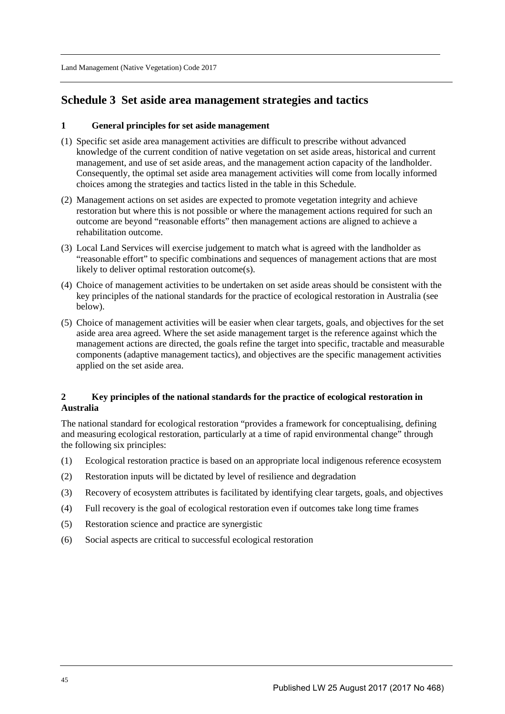## **Schedule 3 Set aside area management strategies and tactics**

## **1 General principles for set aside management**

- (1) Specific set aside area management activities are difficult to prescribe without advanced knowledge of the current condition of native vegetation on set aside areas, historical and current management, and use of set aside areas, and the management action capacity of the landholder. Consequently, the optimal set aside area management activities will come from locally informed choices among the strategies and tactics listed in the table in this Schedule.
- (2) Management actions on set asides are expected to promote vegetation integrity and achieve restoration but where this is not possible or where the management actions required for such an outcome are beyond "reasonable efforts" then management actions are aligned to achieve a rehabilitation outcome.
- (3) Local Land Services will exercise judgement to match what is agreed with the landholder as "reasonable effort" to specific combinations and sequences of management actions that are most likely to deliver optimal restoration outcome(s).
- (4) Choice of management activities to be undertaken on set aside areas should be consistent with the key principles of the national standards for the practice of ecological restoration in Australia (see below).
- (5) Choice of management activities will be easier when clear targets, goals, and objectives for the set aside area area agreed. Where the set aside management target is the reference against which the management actions are directed, the goals refine the target into specific, tractable and measurable components (adaptive management tactics), and objectives are the specific management activities applied on the set aside area.

## **2 Key principles of the national standards for the practice of ecological restoration in Australia**

The national standard for ecological restoration "provides a framework for conceptualising, defining and measuring ecological restoration, particularly at a time of rapid environmental change" through the following six principles:

- (1) Ecological restoration practice is based on an appropriate local indigenous reference ecosystem
- (2) Restoration inputs will be dictated by level of resilience and degradation
- (3) Recovery of ecosystem attributes is facilitated by identifying clear targets, goals, and objectives
- (4) Full recovery is the goal of ecological restoration even if outcomes take long time frames
- (5) Restoration science and practice are synergistic
- (6) Social aspects are critical to successful ecological restoration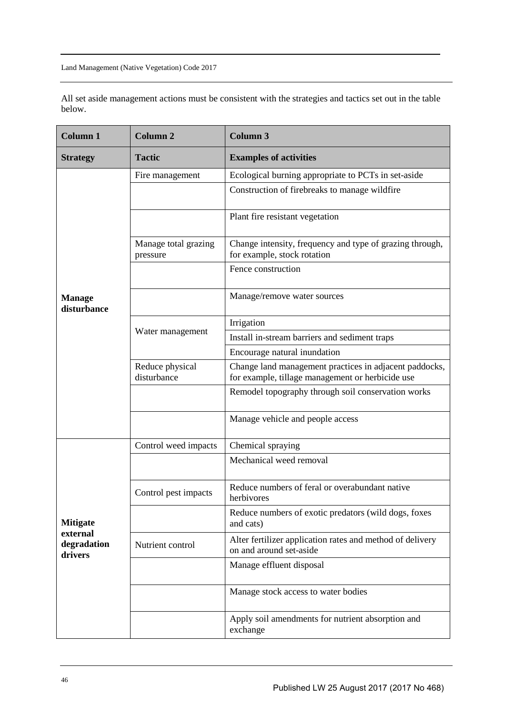| All set aside management actions must be consistent with the strategies and tactics set out in the table |  |
|----------------------------------------------------------------------------------------------------------|--|
| below.                                                                                                   |  |

| <b>Column 1</b>                    | <b>Column 2</b>                  | <b>Column 3</b>                                                                                            |
|------------------------------------|----------------------------------|------------------------------------------------------------------------------------------------------------|
| <b>Strategy</b>                    | <b>Tactic</b>                    | <b>Examples of activities</b>                                                                              |
|                                    | Fire management                  | Ecological burning appropriate to PCTs in set-aside                                                        |
|                                    |                                  | Construction of firebreaks to manage wildfire                                                              |
|                                    |                                  | Plant fire resistant vegetation                                                                            |
|                                    | Manage total grazing<br>pressure | Change intensity, frequency and type of grazing through,<br>for example, stock rotation                    |
|                                    |                                  | Fence construction                                                                                         |
| <b>Manage</b><br>disturbance       |                                  | Manage/remove water sources                                                                                |
|                                    |                                  | Irrigation                                                                                                 |
|                                    | Water management                 | Install in-stream barriers and sediment traps                                                              |
|                                    |                                  | Encourage natural inundation                                                                               |
|                                    | Reduce physical<br>disturbance   | Change land management practices in adjacent paddocks,<br>for example, tillage management or herbicide use |
|                                    |                                  | Remodel topography through soil conservation works                                                         |
|                                    |                                  | Manage vehicle and people access                                                                           |
|                                    | Control weed impacts             | Chemical spraying                                                                                          |
|                                    |                                  | Mechanical weed removal                                                                                    |
|                                    | Control pest impacts             | Reduce numbers of feral or overabundant native<br>herbivores                                               |
| <b>Mitigate</b>                    |                                  | Reduce numbers of exotic predators (wild dogs, foxes<br>and cats)                                          |
| external<br>degradation<br>drivers | Nutrient control                 | Alter fertilizer application rates and method of delivery<br>on and around set-aside                       |
|                                    |                                  | Manage effluent disposal                                                                                   |
|                                    |                                  | Manage stock access to water bodies                                                                        |
|                                    |                                  | Apply soil amendments for nutrient absorption and<br>exchange                                              |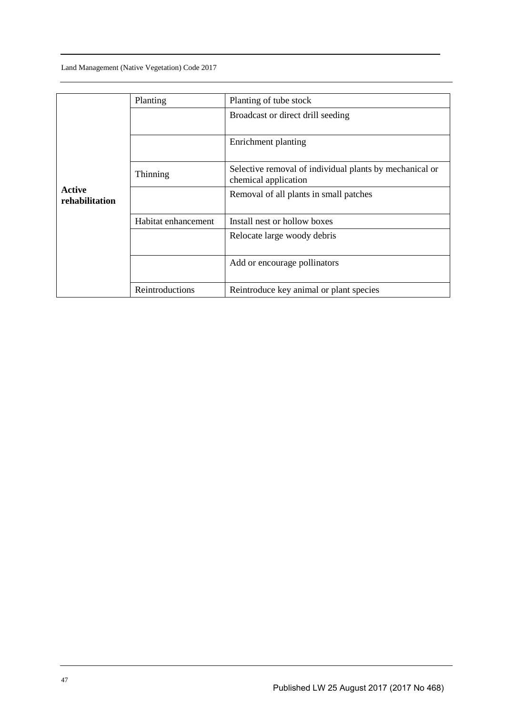|                                 | Planting            | Planting of tube stock                                                          |
|---------------------------------|---------------------|---------------------------------------------------------------------------------|
|                                 |                     | Broadcast or direct drill seeding                                               |
|                                 |                     | Enrichment planting                                                             |
|                                 | Thinning            | Selective removal of individual plants by mechanical or<br>chemical application |
| <b>Active</b><br>rehabilitation |                     | Removal of all plants in small patches                                          |
|                                 | Habitat enhancement | Install nest or hollow boxes                                                    |
|                                 |                     | Relocate large woody debris                                                     |
|                                 |                     | Add or encourage pollinators                                                    |
|                                 | Reintroductions     | Reintroduce key animal or plant species                                         |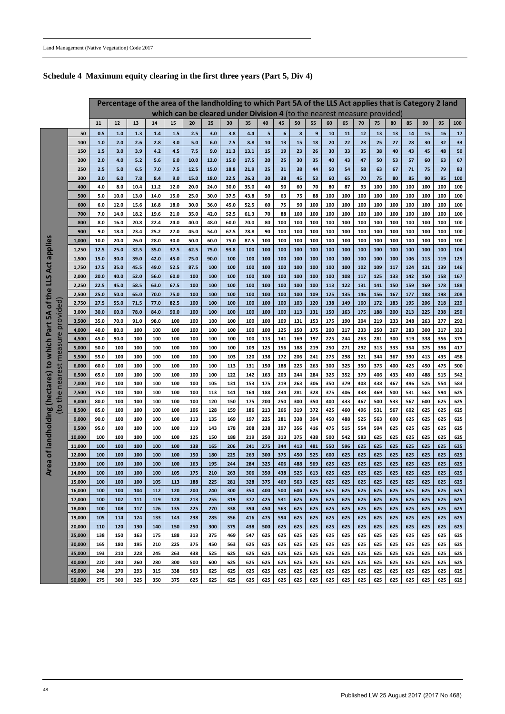|                              | Percentage of the area of the landholding to which Part 5A of the LLS Act applies that is Category 2 land<br>which can be cleared under Division 4 (to the nearest measure provided) |              |              |              |              |              |              |              |              |             |            |            |            |            |            |            |            |            |            |            |            |            |            |
|------------------------------|--------------------------------------------------------------------------------------------------------------------------------------------------------------------------------------|--------------|--------------|--------------|--------------|--------------|--------------|--------------|--------------|-------------|------------|------------|------------|------------|------------|------------|------------|------------|------------|------------|------------|------------|------------|
|                              |                                                                                                                                                                                      |              |              |              |              |              |              |              |              |             |            |            |            |            |            |            |            |            |            |            |            |            |            |
|                              |                                                                                                                                                                                      | 11           | 12           | 13           | 14           | 15           | 20           | 25           | 30           | 35          | 40         | 45         | 50         | 55         | 60         | 65         | 70         | 75         | 80         | 85         | 90         | 95         | 100        |
|                              | 50                                                                                                                                                                                   | 0.5          | 1.0          | 1.3          | 1.4          | 1.5          | 2.5          | 3.0          | 3.8          | 4.4         | 5          | 6          | 8          | 9          | 10         | 11         | 12         | 13         | 13         | 14         | 15         | <b>16</b>  | $17$       |
|                              | 100                                                                                                                                                                                  | 1.0          | 2.0          | 2.6          | 2.8          | 3.0          | 5.0          | 6.0          | 7.5          | 8.8         | 10         | 13         | 15         | 18         | 20         | 22         | 23         | 25         | 27         | 28         | 30         | 32         | 33         |
|                              | 150                                                                                                                                                                                  | 1.5          | 3.0          | 3.9          | 4.2          | 4.5          | 7.5          | 9.0          | 11.3         | 13.1        | 15         | 19         | 23         | 26         | 30         | 33         | 35         | 38         | 40         | 43         | 45         | 48         | 50         |
|                              | 200                                                                                                                                                                                  | 2.0          | 4.0          | 5.2          | 5.6          | 6.0          | 10.0         | 12.0         | 15.0         | 17.5        | 20         | 25         | 30         | 35         | 40         | 43         | 47         | 50         | 53         | 57         | 60         | 63         | 67         |
|                              | 250                                                                                                                                                                                  | 2.5          | 5.0          | 6.5          | 7.0          | 7.5          | 12.5         | 15.0         | 18.8         | 21.9        | 25         | 31         | 38         | 44         | 50         | 54         | 58         | 63         | 67         | 71         | 75         | 79         | 83         |
|                              | 300                                                                                                                                                                                  | 3.0          | 6.0          | 7.8          | 8.4          | 9.0          | 15.0         | 18.0         | 22.5         | 26.3        | 30         | 38         | 45         | 53         | 60         | 65         | 70         | 75         | 80         | 85         | 90         | 95         | 100        |
|                              | 400                                                                                                                                                                                  | 4.0          | 8.0          | 10.4         | 11.2         | 12.0         | 20.0         | 24.0         | 30.0         | 35.0        | 40         | 50         | 60         | 70         | 80         | 87         | 93         | 100        | 100        | 100        | 100        | 100        | 100        |
|                              | 500                                                                                                                                                                                  | 5.0          | 10.0         | 13.0         | 14.0         | 15.0         | 25.0         | 30.0         | 37.5         | 43.8        | 50         | 63         | 75         | 88         | 100        | 100        | 100        | 100        | 100        | 100        | 100        | 100        | 100        |
|                              | 600                                                                                                                                                                                  | 6.0          | 12.0         | 15.6         | 16.8         | 18.0         | 30.0         | 36.0         | 45.0         | 52.5        | 60         | 75         | 90         | 100        | 100        | 100        | 100        | 100        | 100        | 100        | 100        | 100        | 100        |
|                              | 700                                                                                                                                                                                  | 7.0          | 14.0         | 18.2         | 19.6         | 21.0         | 35.0         | 42.0         | 52.5         | 61.3        | 70         | 88         | 100        | 100        | 100        | 100        | 100        | 100        | 100        | 100        | 100        | 100        | 100        |
|                              | 800                                                                                                                                                                                  | 8.0          | 16.0         | 20.8         | 22.4         | 24.0         | 40.0         | 48.0         | 60.0         | 70.0        | 80         | 100        | 100        | 100        | 100        | 100        | 100        | 100        | 100        | 100        | 100        | 100        | 100        |
|                              | 900                                                                                                                                                                                  | 9.0          | 18.0         | 23.4         | 25.2         | 27.0         | 45.0         | 54.0         | 67.5         | 78.8        | 90         | 100        | 100        | 100        | 100        | 100        | 100        | 100        | 100        | 100        | 100        | 100        | 100        |
| applies                      | 1,000                                                                                                                                                                                | 10.0<br>12.5 | 20.0<br>25.0 | 26.0<br>32.5 | 28.0<br>35.0 | 30.0<br>37.5 | 50.0<br>62.5 | 60.0<br>75.0 | 75.0<br>93.8 | 87.5<br>100 | 100<br>100 | 100<br>100 | 100<br>100 | 100<br>100 | 100<br>100 | 100<br>100 | 100<br>100 | 100<br>100 | 100        | 100<br>100 | 100<br>100 | 100<br>100 | 100<br>104 |
|                              | 1,250<br>1,500                                                                                                                                                                       | 15.0         | 30.0         | 39.0         | 42.0         | 45.0         | 75.0         | 90.0         | 100          | 100         | 100        | 100        | 100        | 100        | 100        | 100        | 100        | 100        | 100<br>100 | 106        | 113        | 119        | 125        |
| Act                          | 1,750                                                                                                                                                                                | 17.5         | 35.0         | 45.5         | 49.0         | 52.5         | 87.5         | 100          | 100          | 100         | 100        | 100        | 100        | 100        | 100        | 100        | 102        | 109        | 117        | 124        | 131        | 139        | 146        |
|                              | 2,000                                                                                                                                                                                | 20.0         | 40.0         | 52.0         | 56.0         | 60.0         | 100          | 100          | 100          | 100         | 100        | 100        | 100        | 100        | 100        | 108        | 117        | 125        | 133        | 142        | 150        | 158        | 167        |
| <b>STT</b>                   | 2,250                                                                                                                                                                                | 22.5         | 45.0         | 58.5         | 63.0         | 67.5         | 100          | 100          | 100          | 100         | 100        | 100        | 100        | 100        | 113        | 122        | 131        | 141        | 150        | 159        | 169        | 178        | 188        |
| $\mathbf \omega$             | 2,500                                                                                                                                                                                | 25.0         | 50.0         | 65.0         | 70.0         | 75.0         | 100          | 100          | 100          | 100         | 100        | 100        | 100        | 109        | 125        | 135        | 146        | 156        | 167        | 177        | 188        | 198        | 208        |
| of the                       | 2,750                                                                                                                                                                                | 27.5         | 55.0         | 71.5         | 77.0         | 82.5         | 100          | 100          | 100          | 100         | 100        | 100        | 103        | 120        | 138        | 149        | 160        | 172        | 183        | 195        | 206        | 218        | 229        |
| provided)                    | 3,000                                                                                                                                                                                | 30.0         | 60.0         | 78.0         | 84.0         | 90.0         | 100          | 100          | 100          | 100         | 100        | 100        | 113        | 131        | 150        | 163        | 175        | 188        | 200        | 213        | 225        | 238        | 250        |
| 5A                           | 3,500                                                                                                                                                                                | 35.0         | 70.0         | 91.0         | 98.0         | 100          | 100          | 100          | 100          | 100         | 100        | 109        | 131        | 153        | 175        | 190        | 204        | 219        | 233        | 248        | 263        | 277        | 292        |
| to which Part                | 4,000                                                                                                                                                                                | 40.0         | 80.0         | 100          | 100          | 100          | 100          | 100          | 100          | 100         | 100        | 125        | 150        | 175        | 200        | 217        | 233        | 250        | 267        | 283        | 300        | 317        | 333        |
|                              | 4,500                                                                                                                                                                                | 45.0         | 90.0         | 100          | 100          | 100          | 100          | 100          | 100          | 100         | 113        | 141        | 169        | 197        | 225        | 244        | 263        | 281        | 300        | 319        | 338        | 356        | 375        |
| measure                      | 5,000                                                                                                                                                                                | 50.0         | 100          | 100          | 100          | 100          | 100          | 100          | 100          | 109         | 125        | 156        | 188        | 219        | 250        | 271        | 292        | 313        | 333        | 354        | 375        | 396        | 417        |
|                              | 5,500                                                                                                                                                                                | 55.0         | 100          | 100          | 100          | 100          | 100          | 100          | 103          | 120         | 138        | 172        | 206        | 241        | 275        | 298        | 321        | 344        | 367        | 390        | 413        | 435        | 458        |
| $\overline{5}$               | 6,000                                                                                                                                                                                | 60.0         | 100          | 100          | 100          | 100          | 100          | 100          | 113          | 131         | 150        | 188        | 225        | 263        | 300        | 325        | 350        | 375        | 400        | 425        | 450        | 475        | 500        |
|                              | 6,500                                                                                                                                                                                | 65.0         | 100          | 100          | 100          | 100          | 100          | 100          | 122          | 142         | 163        | 203        | 244        | 284        | 325        | 352        | 379        | 406        | 433        | 460        | 488        | 515        | 542        |
| neare<br>(hectares)          | 7,000                                                                                                                                                                                | 70.0         | 100          | 100          | 100          | 100          | 100          | 105          | 131          | 153         | 175        | 219        | 263        | 306        | 350        | 379        | 408        | 438        | 467        | 496        | 525        | 554        | 583        |
| the                          | 7,500                                                                                                                                                                                | 75.0         | 100          | 100          | 100          | 100          | 100          | 113          | 141          | 164         | 188        | 234        | 281        | 328        | 375        | 406        | 438        | 469        | 500        | 531        | 563        | 594        | 625        |
|                              | 8,000                                                                                                                                                                                | 80.0         | 100          | 100          | 100          | 100          | 100          | 120          | 150          | 175         | 200        | 250        | 300        | 350        | 400        | 433        | 467        | 500        | 533        | 567        | 600        | 625        | 625        |
| $_{\rm (to)}$<br>landholding | 8,500                                                                                                                                                                                | 85.0         | 100          | 100          | 100          | 100          | 106          | 128          | 159          | 186         | 213        | 266        | 319        | 372        | 425        | 460        | 496        | 531        | 567        | 602        | 625        | 625        | 625        |
|                              | 9,000                                                                                                                                                                                | 90.0         | 100          | 100          | 100          | 100          | 113          | 135          | 169          | 197         | 225        | 281        | 338        | 394        | 450        | 488        | 525        | 563        | 600        | 625        | 625        | 625        | 625        |
|                              | 9,500                                                                                                                                                                                | 95.0         | 100          | 100          | 100          | 100          | 119          | 143          | 178          | 208         | 238        | 297        | 356        | 416        | 475        | 515        | 554        | 594        | 625        | 625        | 625        | 625        | 625        |
|                              | 10,000                                                                                                                                                                               | 100          | 100          | 100          | 100          | 100          | 125          | 150          | 188          | 219         | 250        | 313        | 375        | 438        | 500        | 542        | 583        | 625        | 625        | 625        | 625        | 625        | 625        |
|                              | 11,000                                                                                                                                                                               | 100          | 100          | 100          | 100          | 100          | 138          | 165          | 206          | 241         | 275        | 344        | 413        | 481        | 550        | 596        | 625        | 625        | 625        | 625        | 625        | 625        | 625        |
| ្រ                           | 12,000                                                                                                                                                                               | 100          | 100          | 100          | 100          | 100          | 150          | 180          | 225          | 263         | 300        | 375        | 450        | 525        | 600        | 625        | 625        | 625        | 625        | 625        | 625        | 625        | 625        |
| Area                         | 13,000                                                                                                                                                                               | 100          | <b>100</b>   | 100          | 100          | 100          | 163          | 195          | 244          | 284         | 325        | 406        | 488        | 569        | 625        | 625        | 625        | 625        | 625        | 625        | 625        | 625        | 625        |
|                              | 14,000                                                                                                                                                                               | 100          | <b>100</b>   | 100          | 100          | 105          | 175          | 210          | 263          | 306         | 350        | 438        | 525        | 613        | 625        | 625        | 625        | 625        | 625        | 625        | 625        | 625        | 625        |
|                              | 15,000                                                                                                                                                                               | 100          | 100          | 100          | 105          | 113          | 188          | 225          | 281          | 328         | 375        | 469        | 563        | 625        | 625        | 625        | 625        | 625        | 625        | 625        | 625        | 625        | 625        |
|                              | 16,000<br>17,000                                                                                                                                                                     | 100<br>100   | 100<br>102   | 104<br>111   | 112<br>119   | 120<br>128   | 200<br>213   | 240<br>255   | 300<br>319   | 350<br>372  | 400<br>425 | 500        | 600<br>625 | 625<br>625 | 625<br>625 | 625<br>625 | 625        | 625<br>625 | 625<br>625 | 625<br>625 | 625<br>625 | 625        | 625<br>625 |
|                              | 18,000                                                                                                                                                                               | 100          | 108          | 117          | 126          | 135          | 225          | 270          | 338          | 394         | 450        | 531<br>563 | 625        | 625        | 625        | 625        | 625<br>625 | 625        | 625        | 625        | 625        | 625<br>625 | 625        |
|                              | 19,000                                                                                                                                                                               | 105          | 114          | 124          | 133          | 143          | 238          | 285          | 356          | 416         | 475        | 594        | 625        | 625        | 625        | 625        | 625        | 625        | 625        | 625        | 625        | 625        | 625        |
|                              | 20,000                                                                                                                                                                               | 110          | 120          | 130          | 140          | 150          | 250          | 300          | 375          | 438         | 500        | 625        | 625        | 625        | 625        | 625        | 625        | 625        | 625        | 625        | 625        | 625        | 625        |
|                              | 25,000                                                                                                                                                                               | 138          | 150          | 163          | 175          | 188          | 313          | 375          | 469          | 547         | 625        | 625        | 625        | 625        | 625        | 625        | 625        | 625        | 625        | 625        | 625        | 625        | 625        |

| 30,000 | 165 | 180 | 195 | 210 | 225 | 375 | 450 | 563 | 625 | 625 | 625 | 625 | 625 | 625 | 625 | 625 | 625 | 625 | 625 | 625   | 625   | 625 |
|--------|-----|-----|-----|-----|-----|-----|-----|-----|-----|-----|-----|-----|-----|-----|-----|-----|-----|-----|-----|-------|-------|-----|
| 35,000 | 193 | 210 | 228 | 245 | 263 | 438 | 525 | 625 | 625 | 625 | 625 | 625 | 625 | 625 | 625 | 625 | 625 | 625 | 625 | 625   | $625$ | 625 |
| 40.000 | 220 | 240 | 260 | 280 | 300 | 500 | 600 | 625 | 625 | 625 | 625 | 625 | 625 | 625 | 625 | 625 | 625 | 625 | 625 | 625   | 625   | 625 |
| 45.000 | 248 | 270 | 293 | 315 | 338 | 563 | 625 | 625 | 625 | 625 | 625 | 625 | 625 | 625 | 625 | 625 | 625 | 625 | 625 | 625 I | 625   | 625 |
| 50.000 | 275 | 300 | 325 | 350 | 375 | 625 | 625 | 625 | 625 | 625 | 625 | 625 | 625 | 625 | 625 | 625 | 625 | 625 | 625 | 625   | 625   | 625 |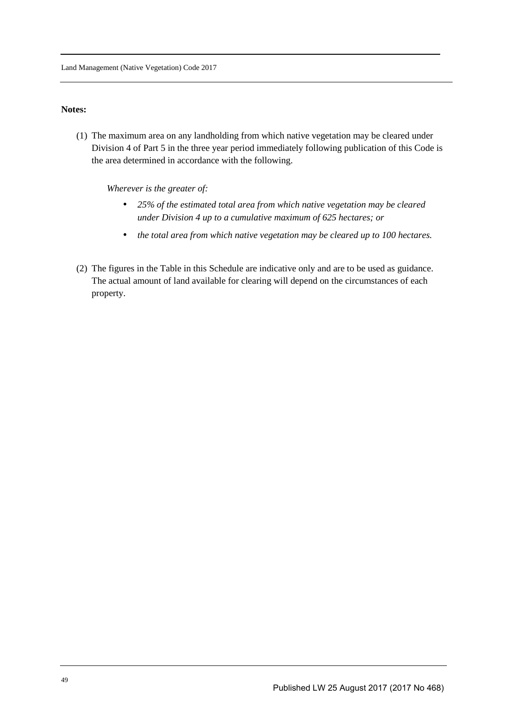#### **Notes:**

(1) The maximum area on any landholding from which native vegetation may be cleared under Division 4 of Part 5 in the three year period immediately following publication of this Code is the area determined in accordance with the following.

*Wherever is the greater of:* 

- *25% of the estimated total area from which native vegetation may be cleared under Division 4 up to a cumulative maximum of 625 hectares; or*
- *the total area from which native vegetation may be cleared up to 100 hectares.*
- (2) The figures in the Table in this Schedule are indicative only and are to be used as guidance. The actual amount of land available for clearing will depend on the circumstances of each property.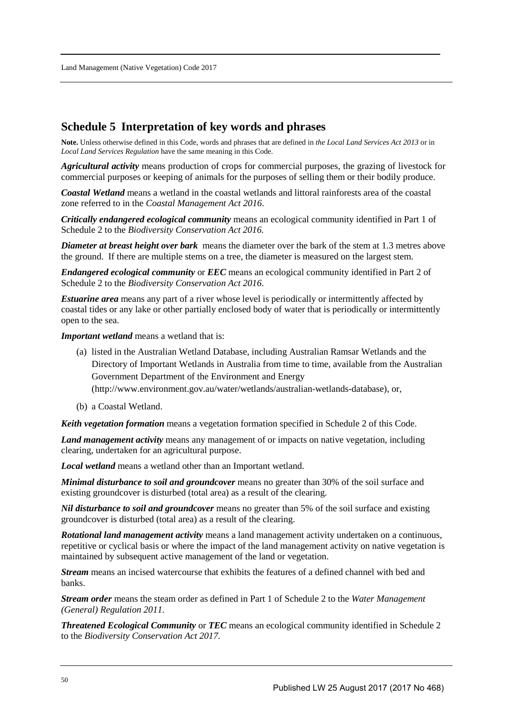## **Schedule 5 Interpretation of key words and phrases**

**Note.** Unless otherwise defined in this Code, words and phrases that are defined in *the Local Land Services Act 2013* or in *Local Land Services Regulation* have the same meaning in this Code.

*Agricultural activity* means production of crops for commercial purposes, the grazing of livestock for commercial purposes or keeping of animals for the purposes of selling them or their bodily produce.

*Coastal Wetland* means a wetland in the coastal wetlands and littoral rainforests area of the coastal zone referred to in the *Coastal Management Act 2016*.

*Critically endangered ecological community* means an ecological community identified in Part 1 of Schedule 2 to the *Biodiversity Conservation Act 2016.* 

*Diameter at breast height over bark* means the diameter over the bark of the stem at 1.3 metres above the ground. If there are multiple stems on a tree, the diameter is measured on the largest stem.

*Endangered ecological community* or *EEC* means an ecological community identified in Part 2 of Schedule 2 to the *Biodiversity Conservation Act 2016*.

*Estuarine area* means any part of a river whose level is periodically or intermittently affected by coastal tides or any lake or other partially enclosed body of water that is periodically or intermittently open to the sea.

*Important wetland* means a wetland that is:

- (a) listed in the Australian Wetland Database, including Australian Ramsar Wetlands and the Directory of Important Wetlands in Australia from time to time, available from the Australian Government Department of the Environment and Energy (http://www.environment.gov.au/water/wetlands/australian-wetlands-database), or,
- (b) a Coastal Wetland.

*Keith vegetation formation* means a vegetation formation specified in Schedule 2 of this Code.

*Land management activity* means any management of or impacts on native vegetation, including clearing, undertaken for an agricultural purpose.

*Local wetland* means a wetland other than an Important wetland.

*Minimal disturbance to soil and groundcover* means no greater than 30% of the soil surface and existing groundcover is disturbed (total area) as a result of the clearing.

*Nil disturbance to soil and groundcover* means no greater than 5% of the soil surface and existing groundcover is disturbed (total area) as a result of the clearing.

*Rotational land management activity* means a land management activity undertaken on a continuous, repetitive or cyclical basis or where the impact of the land management activity on native vegetation is maintained by subsequent active management of the land or vegetation.

*Stream* means an incised watercourse that exhibits the features of a defined channel with bed and banks.

*Stream order* means the steam order as defined in Part 1 of Schedule 2 to the *Water Management (General) Regulation 2011*.

*Threatened Ecological Community* or *TEC* means an ecological community identified in Schedule 2 to the *Biodiversity Conservation Act 2017.*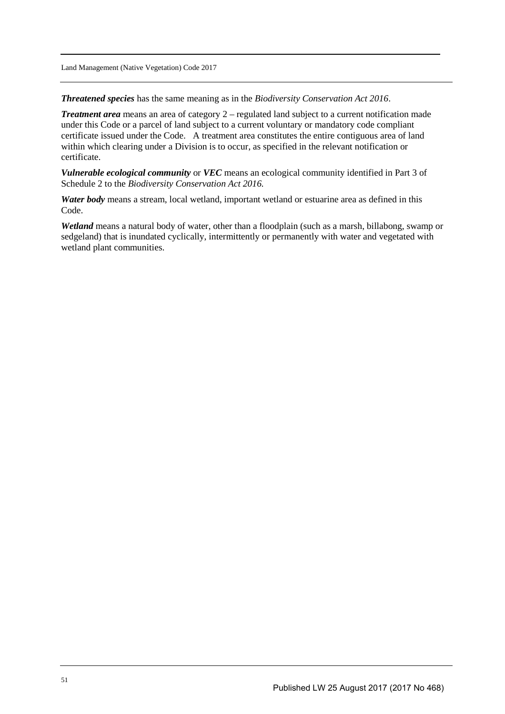*Threatened species* has the same meaning as in the *Biodiversity Conservation Act 2016*.

*Treatment area* means an area of category 2 – regulated land subject to a current notification made under this Code or a parcel of land subject to a current voluntary or mandatory code compliant certificate issued under the Code. A treatment area constitutes the entire contiguous area of land within which clearing under a Division is to occur, as specified in the relevant notification or certificate.

*Vulnerable ecological community* or *VEC* means an ecological community identified in Part 3 of Schedule 2 to the *Biodiversity Conservation Act 2016.* 

*Water body* means a stream, local wetland, important wetland or estuarine area as defined in this Code.

*Wetland* means a natural body of water, other than a floodplain (such as a marsh, billabong, swamp or sedgeland) that is inundated cyclically, intermittently or permanently with water and vegetated with wetland plant communities.